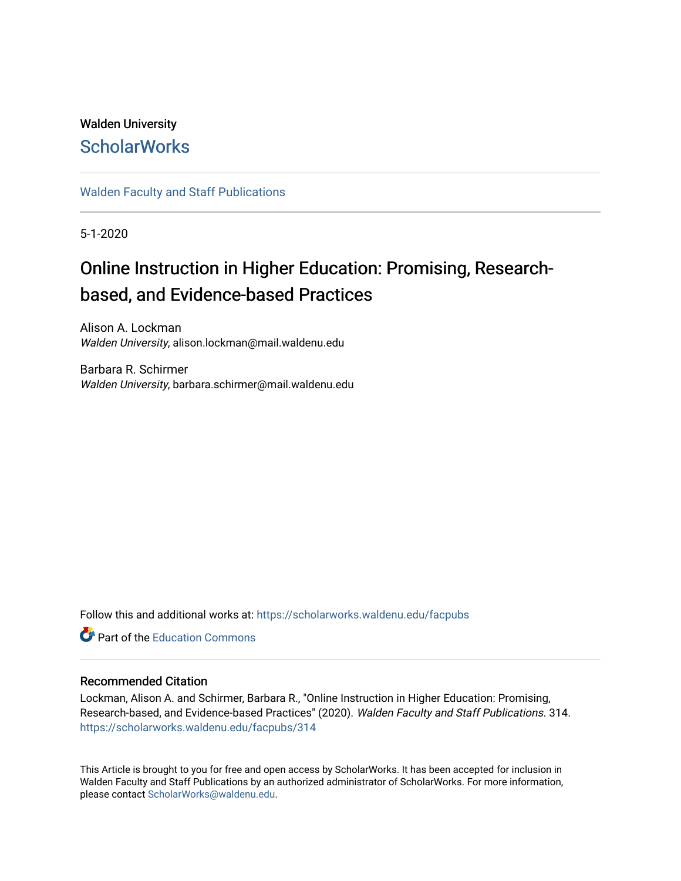# Walden University **ScholarWorks**

## [Walden Faculty and Staff Publications](https://scholarworks.waldenu.edu/facpubs)

5-1-2020

# Online Instruction in Higher Education: Promising, Researchbased, and Evidence-based Practices

Alison A. Lockman Walden University, alison.lockman@mail.waldenu.edu

Barbara R. Schirmer Walden University, barbara.schirmer@mail.waldenu.edu

Follow this and additional works at: [https://scholarworks.waldenu.edu/facpubs](https://scholarworks.waldenu.edu/facpubs?utm_source=scholarworks.waldenu.edu%2Ffacpubs%2F314&utm_medium=PDF&utm_campaign=PDFCoverPages)

**C** Part of the [Education Commons](https://network.bepress.com/hgg/discipline/784?utm_source=scholarworks.waldenu.edu%2Ffacpubs%2F314&utm_medium=PDF&utm_campaign=PDFCoverPages)

### Recommended Citation

Lockman, Alison A. and Schirmer, Barbara R., "Online Instruction in Higher Education: Promising, Research-based, and Evidence-based Practices" (2020). Walden Faculty and Staff Publications. 314. [https://scholarworks.waldenu.edu/facpubs/314](https://scholarworks.waldenu.edu/facpubs/314?utm_source=scholarworks.waldenu.edu%2Ffacpubs%2F314&utm_medium=PDF&utm_campaign=PDFCoverPages)

This Article is brought to you for free and open access by ScholarWorks. It has been accepted for inclusion in Walden Faculty and Staff Publications by an authorized administrator of ScholarWorks. For more information, please contact [ScholarWorks@waldenu.edu](mailto:ScholarWorks@waldenu.edu).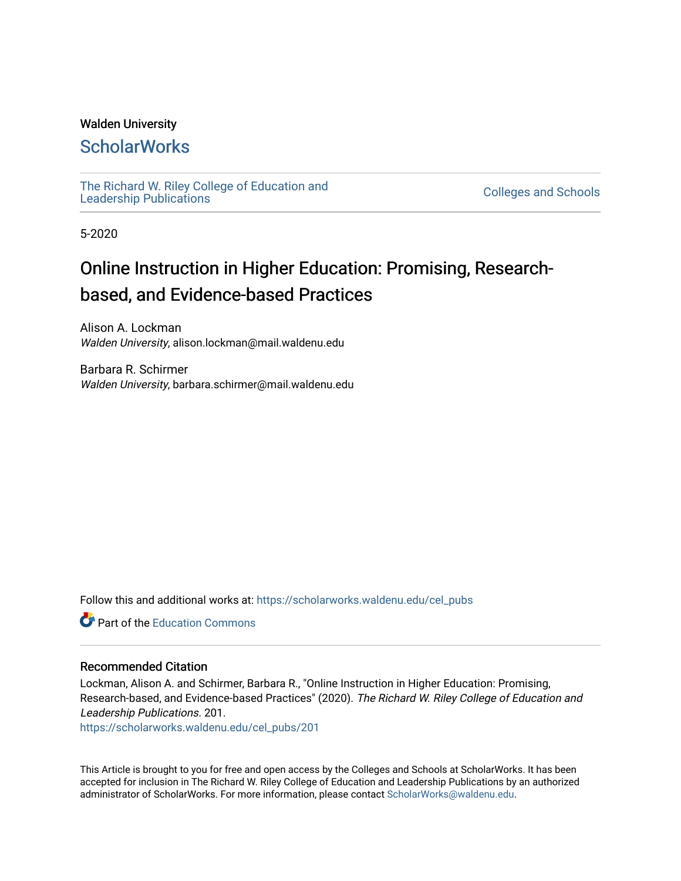## Walden University

# **ScholarWorks**

[The Richard W. Riley College of Education and](https://scholarworks.waldenu.edu/cel_pubs) The Richard W. Riley College of Education and Colleges and Schools [Leadership Publications](https://scholarworks.waldenu.edu/cel_pubs)

5-2020

# Online Instruction in Higher Education: Promising, Researchbased, and Evidence-based Practices

Alison A. Lockman Walden University, alison.lockman@mail.waldenu.edu

Barbara R. Schirmer Walden University, barbara.schirmer@mail.waldenu.edu

Follow this and additional works at: [https://scholarworks.waldenu.edu/cel\\_pubs](https://scholarworks.waldenu.edu/cel_pubs?utm_source=scholarworks.waldenu.edu%2Fcel_pubs%2F201&utm_medium=PDF&utm_campaign=PDFCoverPages) 

**C** Part of the [Education Commons](http://network.bepress.com/hgg/discipline/784?utm_source=scholarworks.waldenu.edu%2Fcel_pubs%2F201&utm_medium=PDF&utm_campaign=PDFCoverPages)

#### Recommended Citation

Lockman, Alison A. and Schirmer, Barbara R., "Online Instruction in Higher Education: Promising, Research-based, and Evidence-based Practices" (2020). The Richard W. Riley College of Education and Leadership Publications. 201.

[https://scholarworks.waldenu.edu/cel\\_pubs/201](https://scholarworks.waldenu.edu/cel_pubs/201?utm_source=scholarworks.waldenu.edu%2Fcel_pubs%2F201&utm_medium=PDF&utm_campaign=PDFCoverPages) 

This Article is brought to you for free and open access by the Colleges and Schools at ScholarWorks. It has been accepted for inclusion in The Richard W. Riley College of Education and Leadership Publications by an authorized administrator of ScholarWorks. For more information, please contact [ScholarWorks@waldenu.edu.](mailto:ScholarWorks@waldenu.edu)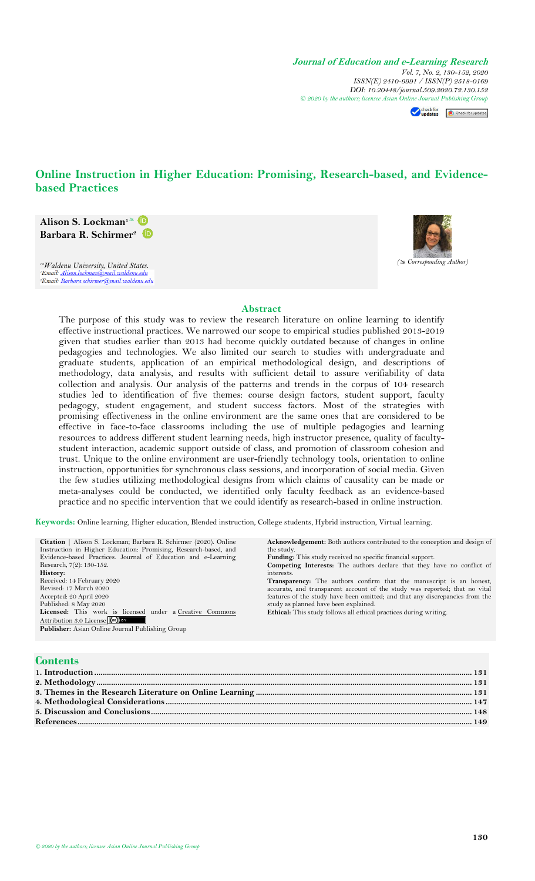**Journal of Education and e-Learning Research** *Vol. 7, No. 2, 130-152, 2020 ISSN(E) 2410-9991 / ISSN(P) 2518-0169 DOI: 10.20448/journal.509.2020.72.130.152 © 2020 by the authors; licensee Asian On[line Journal](https://www.asianonlinejournals.com/index.php/JEELR/article/view/1606) [Publishing Group](http://crossmark.crossref.org/dialog/?doi=10.20448/journal.509.2020.72.130.152&domain=pdf&date_stamp=2017-01-14)*

Check for updates Check for updates

# **Online Instruction in Higher Education: Promising, Research-based, and Evidencebased Practices**

**Alison S. Lockman<sup>1</sup>** **Barbara R. Schirmer<sup>2</sup>**

*( Corresponding Author) 1,2Waldenu University, United States.* lenu.ed <sup>2</sup>Email: Barbara.schirmer@mail.waldenu.edu



#### **Abstract**

The purpose of this study was to review the research literature on online learning to identify effective instructional practices. We narrowed our scope to empirical studies published 2013-2019 given that studies earlier than 2013 had become quickly outdated because of changes in online pedagogies and technologies. We also limited our search to studies with undergraduate and graduate students, application of an empirical methodological design, and descriptions of methodology, data analysis, and results with sufficient detail to assure verifiability of data collection and analysis. Our analysis of the patterns and trends in the corpus of 104 research studies led to identification of five themes: course design factors, student support, faculty pedagogy, student engagement, and student success factors. Most of the strategies with promising effectiveness in the online environment are the same ones that are considered to be effective in face-to-face classrooms including the use of multiple pedagogies and learning resources to address different student learning needs, high instructor presence, quality of facultystudent interaction, academic support outside of class, and promotion of classroom cohesion and trust. Unique to the online environment are user-friendly technology tools, orientation to online instruction, opportunities for synchronous class sessions, and incorporation of social media. Given the few studies utilizing methodological designs from which claims of causality can be made or meta-analyses could be conducted, we identified only faculty feedback as an evidence-based practice and no specific intervention that we could identify as research-based in online instruction.

**Keywords:** Online learning, Higher education, Blended instruction, College students, Hybrid instruction, Virtual learning.

| Citation   Alison S. Lockman; Barbara R. Schirmer (2020). Online | <b>Acknowledgement:</b> Both authors contributed to the conception and design of |
|------------------------------------------------------------------|----------------------------------------------------------------------------------|
| Instruction in Higher Education: Promising, Research-based, and  | the study.                                                                       |
| Evidence-based Practices. Journal of Education and e-Learning    | <b>Funding:</b> This study received no specific financial support.               |
| Research, $7(2)$ : 130-152.                                      | <b>Competing Interests:</b> The authors declare that they have no conflict of    |
| History:                                                         | interests.                                                                       |
| Received: 14 February 2020                                       | <b>Transparency:</b> The authors confirm that the manuscript is an honest,       |
| Revised: 17 March 2020                                           | accurate, and transparent account of the study was reported; that no vital       |
| Accepted: 20 April 2020                                          | features of the study have been omitted; and that any discrepancies from the     |
| Published: 8 May 2020                                            | study as planned have been explained.                                            |
| Licensed: This work is licensed under a Creative Commons         | Ethical: This study follows all ethical practices during writing.                |
| Attribution 3.0 License (CC) BY                                  |                                                                                  |
| <b>Publisher:</b> Asian Online Journal Publishing Group          |                                                                                  |
|                                                                  |                                                                                  |
|                                                                  |                                                                                  |

## **Contents**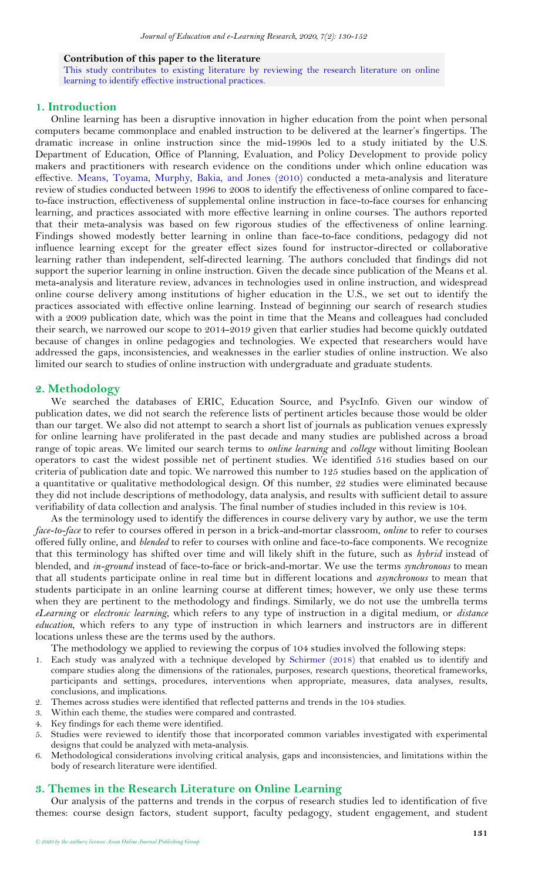#### **Contribution of this paper to the literature**

This study contributes to existing literature by reviewing the research literature on online learning to identify effective instructional practices.

## <span id="page-3-0"></span>**1. Introduction**

Online learning has been a disruptive innovation in higher education from the point when personal computers became commonplace and enabled instruction to be delivered at the learner's fingertips. The dramatic increase in online instruction since the mid-1990s led to a study initiated by the U.S. Department of Education, Office of Planning, Evaluation, and Policy Development to provide policy makers and practitioners with research evidence on the conditions under which online education was effective. [Means, Toyama, Murphy, Bakia, and Jones \(2010\)](#page-23-0) conducted a meta-analysis and literature review of studies conducted between 1996 to 2008 to identify the effectiveness of online compared to faceto-face instruction, effectiveness of supplemental online instruction in face-to-face courses for enhancing learning, and practices associated with more effective learning in online courses. The authors reported that their meta-analysis was based on few rigorous studies of the effectiveness of online learning. Findings showed modestly better learning in online than face-to-face conditions, pedagogy did not influence learning except for the greater effect sizes found for instructor-directed or collaborative learning rather than independent, self-directed learning. The authors concluded that findings did not support the superior learning in online instruction. Given the decade since publication of the Means et al. meta-analysis and literature review, advances in technologies used in online instruction, and widespread online course delivery among institutions of higher education in the U.S., we set out to identify the practices associated with effective online learning. Instead of beginning our search of research studies with a 2009 publication date, which was the point in time that the Means and colleagues had concluded their search, we narrowed our scope to 2014-2019 given that earlier studies had become quickly outdated because of changes in online pedagogies and technologies. We expected that researchers would have addressed the gaps, inconsistencies, and weaknesses in the earlier studies of online instruction. We also limited our search to studies of online instruction with undergraduate and graduate students.

#### <span id="page-3-1"></span>**2. Methodology**

We searched the databases of ERIC, Education Source, and PsycInfo. Given our window of publication dates, we did not search the reference lists of pertinent articles because those would be older than our target. We also did not attempt to search a short list of journals as publication venues expressly for online learning have proliferated in the past decade and many studies are published across a broad range of topic areas. We limited our search terms to *online learning* and *college* without limiting Boolean operators to cast the widest possible net of pertinent studies. We identified 516 studies based on our criteria of publication date and topic. We narrowed this number to 125 studies based on the application of a quantitative or qualitative methodological design. Of this number, 22 studies were eliminated because they did not include descriptions of methodology, data analysis, and results with sufficient detail to assure verifiability of data collection and analysis. The final number of studies included in this review is 104.

As the terminology used to identify the differences in course delivery vary by author, we use the term *face-to-face* to refer to courses offered in person in a brick-and-mortar classroom, *online* to refer to courses offered fully online, and *blended* to refer to courses with online and face-to-face components. We recognize that this terminology has shifted over time and will likely shift in the future, such as *hybrid* instead of blended, and *in-ground* instead of face-to-face or brick-and-mortar. We use the terms *synchronous* to mean that all students participate online in real time but in different locations and *asynchronous* to mean that students participate in an online learning course at different times; however, we only use these terms when they are pertinent to the methodology and findings. Similarly, we do not use the umbrella terms *eLearning* or *electronic learning*, which refers to any type of instruction in a digital medium, or *distance education*, which refers to any type of instruction in which learners and instructors are in different locations unless these are the terms used by the authors.

The methodology we applied to reviewing the corpus of 104 studies involved the following steps:

- 1. Each study was analyzed with a technique developed by [Schirmer \(2018\)](#page-23-1) that enabled us to identify and compare studies along the dimensions of the rationales, purposes, research questions, theoretical frameworks, participants and settings, procedures, interventions when appropriate, measures, data analyses, results, conclusions, and implications.
- 2. Themes across studies were identified that reflected patterns and trends in the 104 studies.
- 3. Within each theme, the studies were compared and contrasted.
- 4. Key findings for each theme were identified.
- 5. Studies were reviewed to identify those that incorporated common variables investigated with experimental designs that could be analyzed with meta-analysis.
- 6. Methodological considerations involving critical analysis, gaps and inconsistencies, and limitations within the body of research literature were identified.

#### <span id="page-3-2"></span>**3. Themes in the Research Literature on Online Learning**

Our analysis of the patterns and trends in the corpus of research studies led to identification of five themes: course design factors, student support, faculty pedagogy, student engagement, and student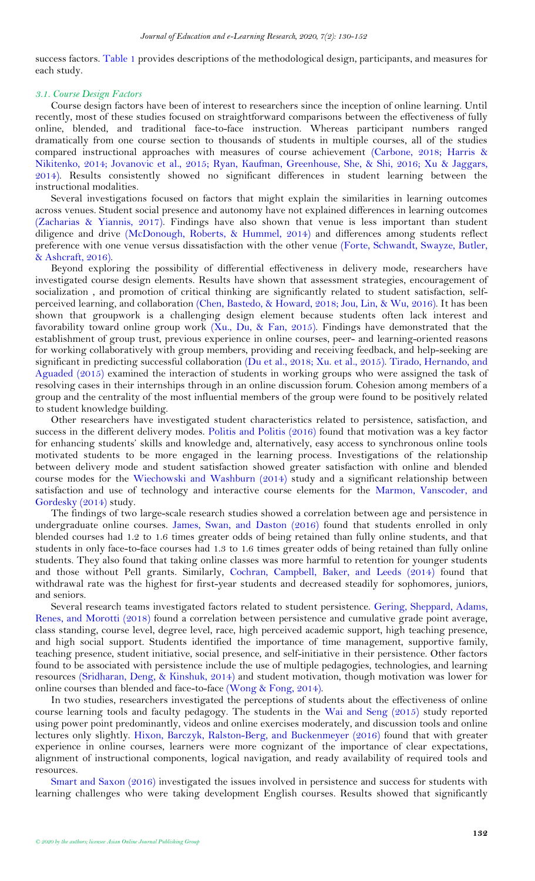<span id="page-4-0"></span>success factors. [Table 1](#page-4-0) provides descriptions of the methodological design, participants, and measures for each study.

#### *3.1. Course Design Factors*

Course design factors have been of interest to researchers since the inception of online learning. Until recently, most of these studies focused on straightforward comparisons between the effectiveness of fully online, blended, and traditional face-to-face instruction. Whereas participant numbers ranged dramatically from one course section to thousands of students in multiple courses, all of the studies compared instructional approaches with measures of course achievement [\(Carbone, 2018;](#page-21-1) [Harris &](#page-22-0)  [Nikitenko, 2014;](#page-22-0) [Jovanovic et al., 2015;](#page-22-1) [Ryan, Kaufman, Greenhouse, She, & Shi, 2016;](#page-23-2) [Xu & Jaggars,](#page-24-0)  [2014\)](#page-24-0). Results consistently showed no significant differences in student learning between the instructional modalities.

Several investigations focused on factors that might explain the similarities in learning outcomes across venues. Student social presence and autonomy have not explained differences in learning outcomes [\(Zacharias & Yiannis, 2017\)](#page-24-1). Findings have also shown that venue is less important than student diligence and drive [\(McDonough, Roberts, & Hummel, 2014\)](#page-23-3) and differences among students reflect preference with one venue versus dissatisfaction with the other venue [\(Forte, Schwandt, Swayze, Butler,](#page-22-2)  [& Ashcraft, 2016\)](#page-22-2).

Beyond exploring the possibility of differential effectiveness in delivery mode, researchers have investigated course design elements. Results have shown that assessment strategies, encouragement of socialization , and promotion of critical thinking are significantly related to student satisfaction, selfperceived learning, and collaboration [\(Chen, Bastedo, & Howard, 2018;](#page-21-2) [Jou, Lin, & Wu, 2016\)](#page-22-3). It has been shown that groupwork is a challenging design element because students often lack interest and favorability toward online group work [\(Xu., Du, & Fan, 2015\)](#page-24-2). Findings have demonstrated that the establishment of group trust, previous experience in online courses, peer- and learning-oriented reasons for working collaboratively with group members, providing and receiving feedback, and help-seeking are significant in predicting successful collaboration [\(Du et al., 2018;](#page-22-4) [Xu. et al., 2015\)](#page-24-2). [Tirado, Hernando, and](#page-23-4)  [Aguaded \(2015\)](#page-23-4) examined the interaction of students in working groups who were assigned the task of resolving cases in their internships through in an online discussion forum. Cohesion among members of a group and the centrality of the most influential members of the group were found to be positively related to student knowledge building.

Other researchers have investigated student characteristics related to persistence, satisfaction, and success in the different delivery modes. [Politis and Politis \(2016\)](#page-23-5) found that motivation was a key factor for enhancing students' skills and knowledge and, alternatively, easy access to synchronous online tools motivated students to be more engaged in the learning process. Investigations of the relationship between delivery mode and student satisfaction showed greater satisfaction with online and blended course modes for the [Wiechowski and Washburn \(2014\)](#page-24-3) study and a significant relationship between satisfaction and use of technology and interactive course elements for the [Marmon, Vanscoder, and](#page-23-6)  [Gordesky \(2014\)](#page-23-6) study.

The findings of two large-scale research studies showed a correlation between age and persistence in undergraduate online courses. [James, Swan, and Daston \(2016\)](#page-22-5) found that students enrolled in only blended courses had 1.2 to 1.6 times greater odds of being retained than fully online students, and that students in only face-to-face courses had 1.3 to 1.6 times greater odds of being retained than fully online students. They also found that taking online classes was more harmful to retention for younger students and those without Pell grants. Similarly, [Cochran, Campbell, Baker, and Leeds \(2014\)](#page-22-6) found that withdrawal rate was the highest for first-year students and decreased steadily for sophomores, juniors, and seniors.

Several research teams investigated factors related to student persistence. [Gering, Sheppard, Adams,](#page-22-7)  [Renes, and Morotti \(2018\)](#page-22-7) found a correlation between persistence and cumulative grade point average, class standing, course level, degree level, race, high perceived academic support, high teaching presence, and high social support. Students identified the importance of time management, supportive family, teaching presence, student initiative, social presence, and self-initiative in their persistence. Other factors found to be associated with persistence include the use of multiple pedagogies, technologies, and learning resources [\(Sridharan, Deng, & Kinshuk, 2014\)](#page-23-7) and student motivation, though motivation was lower for online courses than blended and face-to-face [\(Wong & Fong, 2014\)](#page-24-4).

In two studies, researchers investigated the perceptions of students about the effectiveness of online course learning tools and faculty pedagogy. The students in the [Wai and Seng \(2015\)](#page-23-8) study reported using power point predominantly, videos and online exercises moderately, and discussion tools and online lectures only slightly. [Hixon, Barczyk, Ralston-Berg, and Buckenmeyer \(2016\)](#page-22-8) found that with greater experience in online courses, learners were more cognizant of the importance of clear expectations, alignment of instructional components, logical navigation, and ready availability of required tools and resources.

[Smart and Saxon \(2016\)](#page-23-9) investigated the issues involved in persistence and success for students with learning challenges who were taking development English courses. Results showed that significantly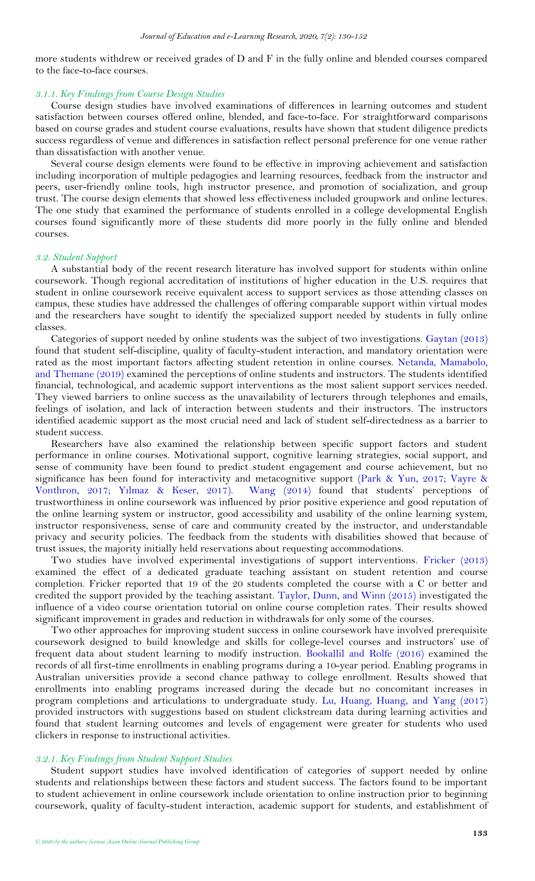more students withdrew or received grades of D and F in the fully online and blended courses compared to the face-to-face courses.

#### *3.1.1. Key Findings from Course Design Studies*

Course design studies have involved examinations of differences in learning outcomes and student satisfaction between courses offered online, blended, and face-to-face. For straightforward comparisons based on course grades and student course evaluations, results have shown that student diligence predicts success regardless of venue and differences in satisfaction reflect personal preference for one venue rather than dissatisfaction with another venue.

Several course design elements were found to be effective in improving achievement and satisfaction including incorporation of multiple pedagogies and learning resources, feedback from the instructor and peers, user-friendly online tools, high instructor presence, and promotion of socialization, and group trust. The course design elements that showed less effectiveness included groupwork and online lectures. The one study that examined the performance of students enrolled in a college developmental English courses found significantly more of these students did more poorly in the fully online and blended courses.

#### *3.2. Student Support*

A substantial body of the recent research literature has involved support for students within online coursework. Though regional accreditation of institutions of higher education in the U.S. requires that student in online coursework receive equivalent access to support services as those attending classes on campus, these studies have addressed the challenges of offering comparable support within virtual modes and the researchers have sought to identify the specialized support needed by students in fully online classes.

Categories of support needed by online students was the subject of two investigations. [Gaytan \(2013\)](#page-22-9) found that student self-discipline, quality of faculty-student interaction, and mandatory orientation were rated as the most important factors affecting student retention in online courses. [Netanda, Mamabolo,](#page-23-10)  [and Themane \(2019\)](#page-23-10) examined the perceptions of online students and instructors. The students identified financial, technological, and academic support interventions as the most salient support services needed. They viewed barriers to online success as the unavailability of lecturers through telephones and emails, feelings of isolation, and lack of interaction between students and their instructors. The instructors identified academic support as the most crucial need and lack of student self-directedness as a barrier to student success.

Researchers have also examined the relationship between specific support factors and student performance in online courses. Motivational support, cognitive learning strategies, social support, and sense of community have been found to predict student engagement and course achievement, but no significance has been found for interactivity and metacognitive support [\(Park & Yun, 2017;](#page-23-11) [Vayre &](#page-23-12)  [Vonthron, 2017;](#page-23-12) Yı[lmaz & Keser, 2017\)](#page-24-5). [Wang \(2014\)](#page-23-13) found that students' perceptions of trustworthiness in online coursework was influenced by prior positive experience and good reputation of the online learning system or instructor, good accessibility and usability of the online learning system, instructor responsiveness, sense of care and community created by the instructor, and understandable privacy and security policies. The feedback from the students with disabilities showed that because of trust issues, the majority initially held reservations about requesting accommodations.

Two studies have involved experimental investigations of support interventions. [Fricker \(2013\)](#page-22-10) examined the effect of a dedicated graduate teaching assistant on student retention and course completion. Fricker reported that 19 of the 20 students completed the course with a C or better and credited the support provided by the teaching assistant. [Taylor, Dunn, and Winn \(2015\)](#page-23-14) investigated the influence of a video course orientation tutorial on online course completion rates. Their results showed significant improvement in grades and reduction in withdrawals for only some of the courses.

Two other approaches for improving student success in online coursework have involved prerequisite coursework designed to build knowledge and skills for college-level courses and instructors' use of frequent data about student learning to modify instruction. [Bookallil and Rolfe \(2016\)](#page-21-3) examined the records of all first-time enrollments in enabling programs during a 10-year period. Enabling programs in Australian universities provide a second chance pathway to college enrollment. Results showed that enrollments into enabling programs increased during the decade but no concomitant increases in program completions and articulations to undergraduate study. [Lu, Huang, Huang, and Yang \(2017\)](#page-22-11) provided instructors with suggestions based on student clickstream data during learning activities and found that student learning outcomes and levels of engagement were greater for students who used clickers in response to instructional activities.

#### *3.2.1. Key Findings from Student Support Studies*

Student support studies have involved identification of categories of support needed by online students and relationships between these factors and student success. The factors found to be important to student achievement in online coursework include orientation to online instruction prior to beginning coursework, quality of faculty-student interaction, academic support for students, and establishment of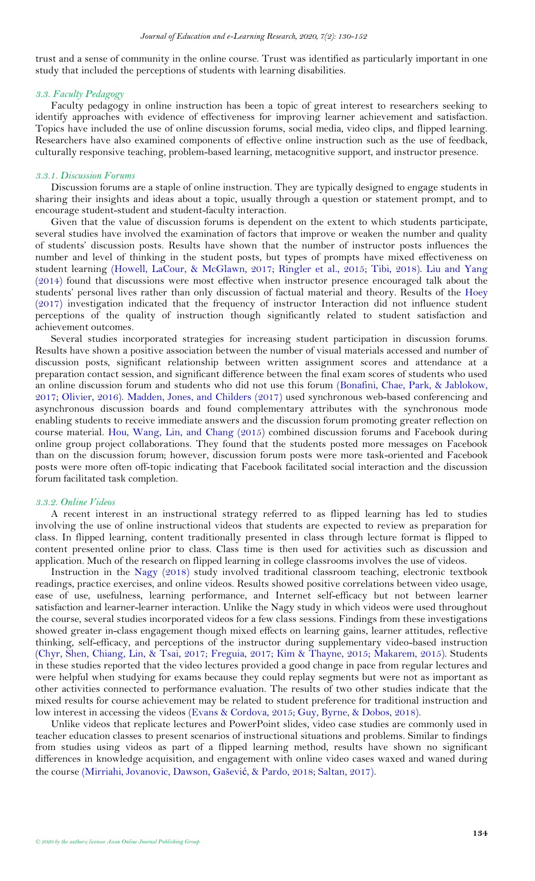trust and a sense of community in the online course. Trust was identified as particularly important in one study that included the perceptions of students with learning disabilities.

#### *3.3. Faculty Pedagogy*

Faculty pedagogy in online instruction has been a topic of great interest to researchers seeking to identify approaches with evidence of effectiveness for improving learner achievement and satisfaction. Topics have included the use of online discussion forums, social media, video clips, and flipped learning. Researchers have also examined components of effective online instruction such as the use of feedback, culturally responsive teaching, problem-based learning, metacognitive support, and instructor presence.

#### *3.3.1. Discussion Forums*

Discussion forums are a staple of online instruction. They are typically designed to engage students in sharing their insights and ideas about a topic, usually through a question or statement prompt, and to encourage student-student and student-faculty interaction.

Given that the value of discussion forums is dependent on the extent to which students participate, several studies have involved the examination of factors that improve or weaken the number and quality of students' discussion posts. Results have shown that the number of instructor posts influences the number and level of thinking in the student posts, but types of prompts have mixed effectiveness on student learning [\(Howell, LaCour, & McGlawn, 2017;](#page-22-12) [Ringler et al., 2015;](#page-23-15) [Tibi, 2018\)](#page-23-16). [Liu and Yang](#page-22-13)   $(2014)$  found that discussions were most effective when instructor presence encouraged talk about the students' personal lives rather than only discussion of factual material and theory. Results of the [Hoey](#page-22-14)  [\(2017\)](#page-22-14) investigation indicated that the frequency of instructor Interaction did not influence student perceptions of the quality of instruction though significantly related to student satisfaction and achievement outcomes.

Several studies incorporated strategies for increasing student participation in discussion forums. Results have shown a positive association between the number of visual materials accessed and number of discussion posts, significant relationship between written assignment scores and attendance at a preparation contact session, and significant difference between the final exam scores of students who used an online discussion forum and students who did not use this forum [\(Bonafini, Chae, Park, & Jablokow,](#page-21-4)  [2017;](#page-21-4) [Olivier, 2016\)](#page-23-17). [Madden, Jones, and Childers \(2017\)](#page-22-15) used synchronous web-based conferencing and asynchronous discussion boards and found complementary attributes with the synchronous mode enabling students to receive immediate answers and the discussion forum promoting greater reflection on course material. [Hou, Wang, Lin, and Chang \(2015\)](#page-22-16) combined discussion forums and Facebook during online group project collaborations. They found that the students posted more messages on Facebook than on the discussion forum; however, discussion forum posts were more task-oriented and Facebook posts were more often off-topic indicating that Facebook facilitated social interaction and the discussion forum facilitated task completion.

#### *3.3.2. Online Videos*

A recent interest in an instructional strategy referred to as flipped learning has led to studies involving the use of online instructional videos that students are expected to review as preparation for class. In flipped learning, content traditionally presented in class through lecture format is flipped to content presented online prior to class. Class time is then used for activities such as discussion and application. Much of the research on flipped learning in college classrooms involves the use of videos.

Instruction in the [Nagy \(2018\)](#page-23-18) study involved traditional classroom teaching, electronic textbook readings, practice exercises, and online videos. Results showed positive correlations between video usage, ease of use, usefulness, learning performance, and Internet self-efficacy but not between learner satisfaction and learner-learner interaction. Unlike the Nagy study in which videos were used throughout the course, several studies incorporated videos for a few class sessions. Findings from these investigations showed greater in-class engagement though mixed effects on learning gains, learner attitudes, reflective thinking, self-efficacy, and perceptions of the instructor during supplementary video-based instruction [\(Chyr, Shen, Chiang, Lin, & Tsai, 2017;](#page-21-5) [Freguia, 2017;](#page-22-17) [Kim & Thayne, 2015;](#page-22-18) [Makarem, 2015\)](#page-23-19). Students in these studies reported that the video lectures provided a good change in pace from regular lectures and were helpful when studying for exams because they could replay segments but were not as important as other activities connected to performance evaluation. The results of two other studies indicate that the mixed results for course achievement may be related to student preference for traditional instruction and low interest in accessing the videos [\(Evans & Cordova, 2015;](#page-22-19) [Guy, Byrne, & Dobos, 2018\)](#page-22-20).

Unlike videos that replicate lectures and PowerPoint slides, video case studies are commonly used in teacher education classes to present scenarios of instructional situations and problems. Similar to findings from studies using videos as part of a flipped learning method, results have shown no significant differences in knowledge acquisition, and engagement with online video cases waxed and waned during the course ([Mirriahi, Jovanovic, Dawson, Gaševi](#page-23-20)ć, & Pardo, 2018; [Saltan, 2017\)](#page-23-21).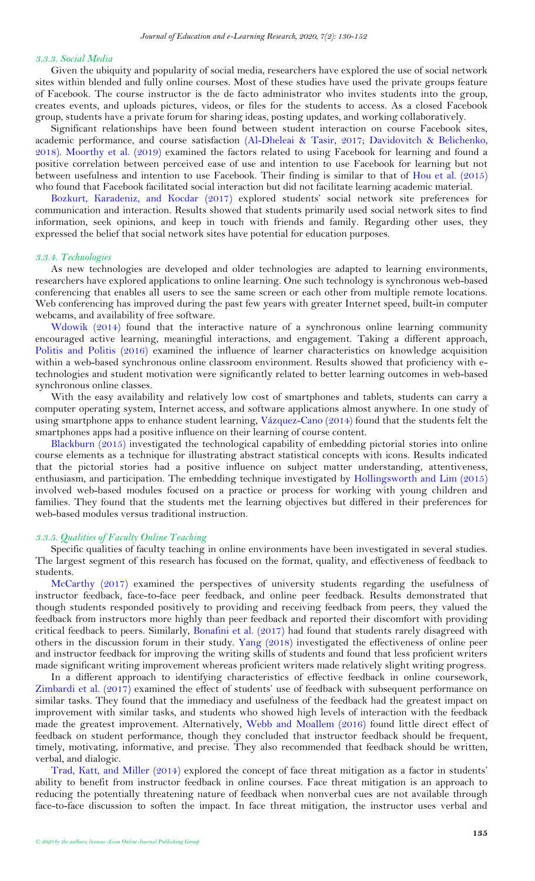#### *3.3.3. Social Media*

Given the ubiquity and popularity of social media, researchers have explored the use of social network sites within blended and fully online courses. Most of these studies have used the private groups feature of Facebook. The course instructor is the de facto administrator who invites students into the group, creates events, and uploads pictures, videos, or files for the students to access. As a closed Facebook group, students have a private forum for sharing ideas, posting updates, and working collaboratively.

Significant relationships have been found between student interaction on course Facebook sites, academic performance, and course satisfaction [\(Al-Dheleai & Tasir, 2017;](#page-21-6) [Davidovitch & Belichenko,](#page-22-21)  [2018\)](#page-22-21). [Moorthy et al. \(2019\)](#page-23-22) examined the factors related to using Facebook for learning and found a positive correlation between perceived ease of use and intention to use Facebook for learning but not between usefulness and intention to use Facebook. Their finding is similar to that of [Hou et al. \(2015\)](#page-22-16) who found that Facebook facilitated social interaction but did not facilitate learning academic material.

[Bozkurt, Karadeniz, and Kocdar \(2017\)](#page-21-7) explored students' social network site preferences for communication and interaction. Results showed that students primarily used social network sites to find information, seek opinions, and keep in touch with friends and family. Regarding other uses, they expressed the belief that social network sites have potential for education purposes.

#### *3.3.4. Technologies*

As new technologies are developed and older technologies are adapted to learning environments, researchers have explored applications to online learning. One such technology is synchronous web-based conferencing that enables all users to see the same screen or each other from multiple remote locations. Web conferencing has improved during the past few years with greater Internet speed, built-in computer webcams, and availability of free software.

[Wdowik \(2014\)](#page-23-23) found that the interactive nature of a synchronous online learning community encouraged active learning, meaningful interactions, and engagement. Taking a different approach, [Politis and Politis \(2016\)](#page-23-5) examined the influence of learner characteristics on knowledge acquisition within a web-based synchronous online classroom environment. Results showed that proficiency with etechnologies and student motivation were significantly related to better learning outcomes in web-based synchronous online classes.

With the easy availability and relatively low cost of smartphones and tablets, students can carry a computer operating system, Internet access, and software applications almost anywhere. In one study of using smartphone apps to enhance student learning, [Vázquez-Cano \(2014\)](#page-23-24) found that the students felt the smartphones apps had a positive influence on their learning of course content.

[Blackburn \(2015\)](#page-21-8) investigated the technological capability of embedding pictorial stories into online course elements as a technique for illustrating abstract statistical concepts with icons. Results indicated that the pictorial stories had a positive influence on subject matter understanding, attentiveness, enthusiasm, and participation. The embedding technique investigated by [Hollingsworth and Lim \(2015\)](#page-22-22) involved web-based modules focused on a practice or process for working with young children and families. They found that the students met the learning objectives but differed in their preferences for web-based modules versus traditional instruction.

#### *3.3.5. Qualities of Faculty Online Teaching*

Specific qualities of faculty teaching in online environments have been investigated in several studies. The largest segment of this research has focused on the format, quality, and effectiveness of feedback to students.

[McCarthy \(2017\)](#page-23-25) examined the perspectives of university students regarding the usefulness of instructor feedback, face-to-face peer feedback, and online peer feedback. Results demonstrated that though students responded positively to providing and receiving feedback from peers, they valued the feedback from instructors more highly than peer feedback and reported their discomfort with providing critical feedback to peers. Similarly, [Bonafini et al. \(2017\)](#page-21-4) had found that students rarely disagreed with others in the discussion forum in their study. [Yang \(2018\)](#page-24-6) investigated the effectiveness of online peer and instructor feedback for improving the writing skills of students and found that less proficient writers made significant writing improvement whereas proficient writers made relatively slight writing progress.

In a different approach to identifying characteristics of effective feedback in online coursework, [Zimbardi et al. \(2017\)](#page-24-7) examined the effect of students' use of feedback with subsequent performance on similar tasks. They found that the immediacy and usefulness of the feedback had the greatest impact on improvement with similar tasks, and students who showed high levels of interaction with the feedback made the greatest improvement. Alternatively, [Webb and Moallem \(2016\)](#page-24-8) found little direct effect of feedback on student performance, though they concluded that instructor feedback should be frequent, timely, motivating, informative, and precise. They also recommended that feedback should be written, verbal, and dialogic.

[Trad, Katt, and Miller \(2014\)](#page-23-26) explored the concept of face threat mitigation as a factor in students' ability to benefit from instructor feedback in online courses. Face threat mitigation is an approach to reducing the potentially threatening nature of feedback when nonverbal cues are not available through face-to-face discussion to soften the impact. In face threat mitigation, the instructor uses verbal and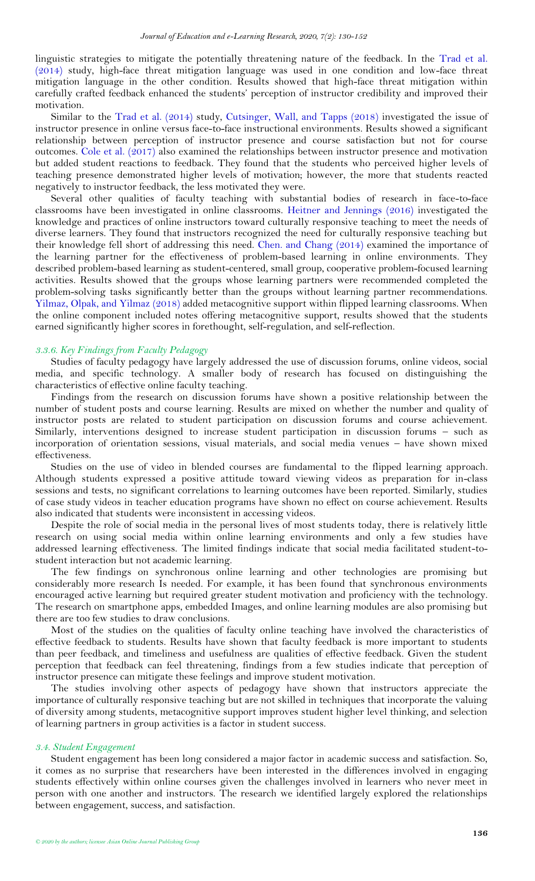linguistic strategies to mitigate the potentially threatening nature of the feedback. In the [Trad et al.](#page-23-26)  [\(2014\)](#page-23-26) study, high-face threat mitigation language was used in one condition and low-face threat mitigation language in the other condition. Results showed that high-face threat mitigation within carefully crafted feedback enhanced the students' perception of instructor credibility and improved their motivation.

Similar to the Trad et [al. \(2014\)](#page-23-26) study, [Cutsinger, Wall, and Tapps \(2018\)](#page-22-23) investigated the issue of instructor presence in online versus face-to-face instructional environments. Results showed a significant relationship between perception of instructor presence and course satisfaction but not for course outcomes. [Cole et al. \(2017\)](#page-22-24) also examined the relationships between instructor presence and motivation but added student reactions to feedback. They found that the students who perceived higher levels of teaching presence demonstrated higher levels of motivation; however, the more that students reacted negatively to instructor feedback, the less motivated they were.

Several other qualities of faculty teaching with substantial bodies of research in face-to-face classrooms have been investigated in online classrooms. [Heitner and Jennings \(2016\)](#page-22-25) investigated the knowledge and practices of online instructors toward culturally responsive teaching to meet the needs of diverse learners. They found that instructors recognized the need for culturally responsive teaching but their knowledge fell short of addressing this need. [Chen. and Chang \(2014\)](#page-21-9) examined the importance of the learning partner for the effectiveness of problem-based learning in online environments. They described problem-based learning as student-centered, small group, cooperative problem-focused learning activities. Results showed that the groups whose learning partners were recommended completed the problem-solving tasks significantly better than the groups without learning partner recommendations. [Yilmaz, Olpak, and Yilmaz \(2018\)](#page-24-9) added metacognitive support within flipped learning classrooms. When the online component included notes offering metacognitive support, results showed that the students earned significantly higher scores in forethought, self-regulation, and self-reflection.

## *3.3.6. Key Findings from Faculty Pedagogy*

Studies of faculty pedagogy have largely addressed the use of discussion forums, online videos, social media, and specific technology. A smaller body of research has focused on distinguishing the characteristics of effective online faculty teaching.

Findings from the research on discussion forums have shown a positive relationship between the number of student posts and course learning. Results are mixed on whether the number and quality of instructor posts are related to student participation on discussion forums and course achievement. Similarly, interventions designed to increase student participation in discussion forums – such as incorporation of orientation sessions, visual materials, and social media venues – have shown mixed effectiveness.

Studies on the use of video in blended courses are fundamental to the flipped learning approach. Although students expressed a positive attitude toward viewing videos as preparation for in-class sessions and tests, no significant correlations to learning outcomes have been reported. Similarly, studies of case study videos in teacher education programs have shown no effect on course achievement. Results also indicated that students were inconsistent in accessing videos.

Despite the role of social media in the personal lives of most students today, there is relatively little research on using social media within online learning environments and only a few studies have addressed learning effectiveness. The limited findings indicate that social media facilitated student-tostudent interaction but not academic learning.

The few findings on synchronous online learning and other technologies are promising but considerably more research Is needed. For example, it has been found that synchronous environments encouraged active learning but required greater student motivation and proficiency with the technology. The research on smartphone apps, embedded Images, and online learning modules are also promising but there are too few studies to draw conclusions.

Most of the studies on the qualities of faculty online teaching have involved the characteristics of effective feedback to students. Results have shown that faculty feedback is more important to students than peer feedback, and timeliness and usefulness are qualities of effective feedback. Given the student perception that feedback can feel threatening, findings from a few studies indicate that perception of instructor presence can mitigate these feelings and improve student motivation.

The studies involving other aspects of pedagogy have shown that instructors appreciate the importance of culturally responsive teaching but are not skilled in techniques that incorporate the valuing of diversity among students, metacognitive support improves student higher level thinking, and selection of learning partners in group activities is a factor in student success.

#### *3.4. Student Engagement*

Student engagement has been long considered a major factor in academic success and satisfaction. So, it comes as no surprise that researchers have been interested in the differences involved in engaging students effectively within online courses given the challenges involved in learners who never meet in person with one another and instructors. The research we identified largely explored the relationships between engagement, success, and satisfaction.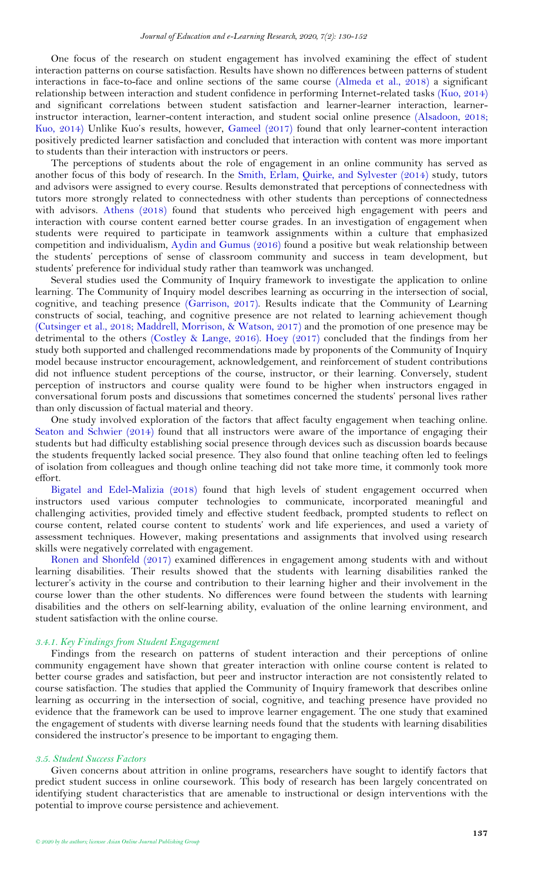One focus of the research on student engagement has involved examining the effect of student interaction patterns on course satisfaction. Results have shown no differences between patterns of student interactions in face-to-face and online sections of the same course [\(Almeda et](#page-21-10) al., 2018) a significant relationship between interaction and student confidence in performing Internet-related tasks [\(Kuo, 2014\)](#page-22-26) and significant correlations between student satisfaction and learner-learner interaction, learnerinstructor interaction, learner-content interaction, and student social online presence [\(Alsadoon, 2018;](#page-21-11) [Kuo, 2014\)](#page-22-26) Unlike Kuo's results, however, [Gameel \(2017\)](#page-22-27) found that only learner-content interaction positively predicted learner satisfaction and concluded that interaction with content was more important to students than their interaction with instructors or peers.

The perceptions of students about the role of engagement in an online community has served as another focus of this body of research. In the [Smith, Erlam, Quirke, and Sylvester \(2014\)](#page-23-27) study, tutors and advisors were assigned to every course. Results demonstrated that perceptions of connectedness with tutors more strongly related to connectedness with other students than perceptions of connectedness with advisors. [Athens \(2018\)](#page-21-12) found that students who perceived high engagement with peers and interaction with course content earned better course grades. In an investigation of engagement when students were required to participate in teamwork assignments within a culture that emphasized competition and individualism, [Aydin and Gumus \(2016\)](#page-21-13) found a positive but weak relationship between the students' perceptions of sense of classroom community and success in team development, but students' preference for individual study rather than teamwork was unchanged.

Several studies used the Community of Inquiry framework to investigate the application to online learning. The Community of Inquiry model describes learning as occurring in the intersection of social, cognitive, and teaching presence [\(Garrison, 2017\)](#page-22-28). Results indicate that the Community of Learning constructs of social, teaching, and cognitive presence are not related to learning achievement though [\(Cutsinger et al., 2018;](#page-22-23) [Maddrell, Morrison, & Watson, 2017\)](#page-23-28) and the promotion of one presence may be detrimental to the others [\(Costley & Lange, 2016\)](#page-22-29). [Hoey \(2017\)](#page-22-14) concluded that the findings from her study both supported and challenged recommendations made by proponents of the Community of Inquiry model because instructor encouragement, acknowledgement, and reinforcement of student contributions did not influence student perceptions of the course, instructor, or their learning. Conversely, student perception of instructors and course quality were found to be higher when instructors engaged in conversational forum posts and discussions that sometimes concerned the students' personal lives rather than only discussion of factual material and theory.

One study involved exploration of the factors that affect faculty engagement when teaching online. [Seaton and Schwier \(2014\)](#page-23-29) found that all instructors were aware of the importance of engaging their students but had difficulty establishing social presence through devices such as discussion boards because the students frequently lacked social presence. They also found that online teaching often led to feelings of isolation from colleagues and though online teaching did not take more time, it commonly took more effort.

[Bigatel and Edel-Malizia \(2018\)](#page-21-14) found that high levels of student engagement occurred when instructors used various computer technologies to communicate, incorporated meaningful and challenging activities, provided timely and effective student feedback, prompted students to reflect on course content, related course content to students' work and life experiences, and used a variety of assessment techniques. However, making presentations and assignments that involved using research skills were negatively correlated with engagement.

[Ronen and Shonfeld \(2017\)](#page-23-30) examined differences in engagement among students with and without learning disabilities. Their results showed that the students with learning disabilities ranked the lecturer's activity in the course and contribution to their learning higher and their involvement in the course lower than the other students. No differences were found between the students with learning disabilities and the others on self-learning ability, evaluation of the online learning environment, and student satisfaction with the online course.

#### *3.4.1. Key Findings from Student Engagement*

Findings from the research on patterns of student interaction and their perceptions of online community engagement have shown that greater interaction with online course content is related to better course grades and satisfaction, but peer and instructor interaction are not consistently related to course satisfaction. The studies that applied the Community of Inquiry framework that describes online learning as occurring in the intersection of social, cognitive, and teaching presence have provided no evidence that the framework can be used to improve learner engagement. The one study that examined the engagement of students with diverse learning needs found that the students with learning disabilities considered the instructor's presence to be important to engaging them.

#### *3.5. Student Success Factors*

Given concerns about attrition in online programs, researchers have sought to identify factors that predict student success in online coursework. This body of research has been largely concentrated on identifying student characteristics that are amenable to instructional or design interventions with the potential to improve course persistence and achievement.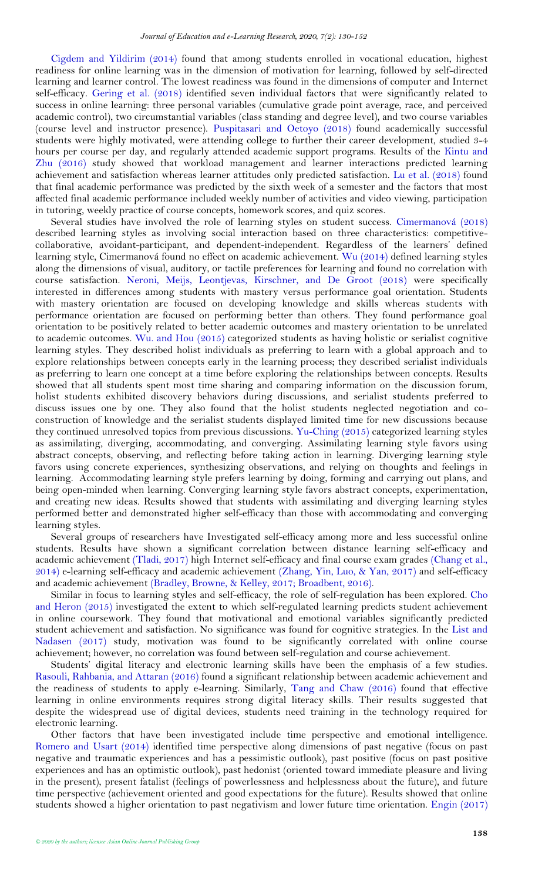[Cigdem and Yildirim \(2014\)](#page-21-15) found that among students enrolled in vocational education, highest readiness for online learning was in the dimension of motivation for learning, followed by self-directed learning and learner control. The lowest readiness was found in the dimensions of computer and Internet self-efficacy. [Gering et al. \(2018\)](#page-22-7) identified seven individual factors that were significantly related to success in online learning: three personal variables (cumulative grade point average, race, and perceived academic control), two circumstantial variables (class standing and degree level), and two course variables (course level and instructor presence). [Puspitasari and Oetoyo \(2018\)](#page-23-31) found academically successful students were highly motivated, were attending college to further their career development, studied 3-4 hours per course per day, and regularly attended academic support programs. Results of the [Kintu and](#page-22-30)  [Zhu \(2016\)](#page-22-30) study showed that workload management and learner interactions predicted learning achievement and satisfaction whereas learner attitudes only predicted satisfaction. [Lu et al. \(2018\)](#page-22-31) found that final academic performance was predicted by the sixth week of a semester and the factors that most affected final academic performance included weekly number of activities and video viewing, participation in tutoring, weekly practice of course concepts, homework scores, and quiz scores.

Several studies have involved the role of learning styles on student success. [Cimermanová \(2018\)](#page-21-16) described learning styles as involving social interaction based on three characteristics: competitivecollaborative, avoidant-participant, and dependent-independent. Regardless of the learners' defined learning style, Cimermanová found no effect on academic achievement. [Wu \(2014\)](#page-24-10) defined learning styles along the dimensions of visual, auditory, or tactile preferences for learning and found no correlation with course satisfaction. [Neroni, Meijs, Leontjevas, Kirschner, and De Groot \(2018\)](#page-23-32) were specifically interested in differences among students with mastery versus performance goal orientation. Students with mastery orientation are focused on developing knowledge and skills whereas students with performance orientation are focused on performing better than others. They found performance goal orientation to be positively related to better academic outcomes and mastery orientation to be unrelated to academic outcomes. [Wu. and Hou \(2015\)](#page-24-11) categorized students as having holistic or serialist cognitive learning styles. They described holist individuals as preferring to learn with a global approach and to explore relationships between concepts early in the learning process; they described serialist individuals as preferring to learn one concept at a time before exploring the relationships between concepts. Results showed that all students spent most time sharing and comparing information on the discussion forum, holist students exhibited discovery behaviors during discussions, and serialist students preferred to discuss issues one by one. They also found that the holist students neglected negotiation and coconstruction of knowledge and the serialist students displayed limited time for new discussions because they continued unresolved topics from previous discussions. [Yu-Ching \(2015\)](#page-24-12) categorized learning styles as assimilating, diverging, accommodating, and converging. Assimilating learning style favors using abstract concepts, observing, and reflecting before taking action in learning. Diverging learning style favors using concrete experiences, synthesizing observations, and relying on thoughts and feelings in learning. Accommodating learning style prefers learning by doing, forming and carrying out plans, and being open-minded when learning. Converging learning style favors abstract concepts, experimentation, and creating new ideas. Results showed that students with assimilating and diverging learning styles performed better and demonstrated higher self-efficacy than those with accommodating and converging learning styles.

Several groups of researchers have Investigated self-efficacy among more and less successful online students. Results have shown a significant correlation between distance learning self-efficacy and academic achievement [\(Tladi, 2017\)](#page-23-33) high Internet self-efficacy and final course exam grades [\(Chang et al.,](#page-21-17)  [2014\)](#page-21-17) e-learning self-efficacy and academic achievement [\(Zhang, Yin, Luo, & Yan, 2017\)](#page-24-13) and self-efficacy and academic achievement [\(Bradley, Browne, & Kelley, 2017;](#page-21-18) [Broadbent, 2016\)](#page-21-19).

Similar in focus to learning styles and self-efficacy, the role of self-regulation has been explored. [Cho](#page-21-20)  [and Heron \(2015\)](#page-21-20) investigated the extent to which self-regulated learning predicts student achievement in online coursework. They found that motivational and emotional variables significantly predicted student achievement and satisfaction. No significance was found for cognitive strategies. In the [List and](#page-22-32)  [Nadasen \(2017\)](#page-22-32) study, motivation was found to be significantly correlated with online course achievement; however, no correlation was found between self-regulation and course achievement.

Students' digital literacy and electronic learning skills have been the emphasis of a few studies. [Rasouli, Rahbania, and Attaran \(2016\)](#page-23-34) found a significant relationship between academic achievement and the readiness of students to apply e-learning. Similarly, [Tang and Chaw \(2016\)](#page-23-35) found that effective learning in online environments requires strong digital literacy skills. Their results suggested that despite the widespread use of digital devices, students need training in the technology required for electronic learning.

Other factors that have been investigated include time perspective and emotional intelligence. [Romero and Usart \(2014\)](#page-23-36) identified time perspective along dimensions of past negative (focus on past negative and traumatic experiences and has a pessimistic outlook), past positive (focus on past positive experiences and has an optimistic outlook), past hedonist (oriented toward immediate pleasure and living in the present), present fatalist (feelings of powerlessness and helplessness about the future), and future time perspective (achievement oriented and good expectations for the future). Results showed that online students showed a higher orientation to past negativism and lower future time orientation. [Engin \(2017\)](#page-22-33)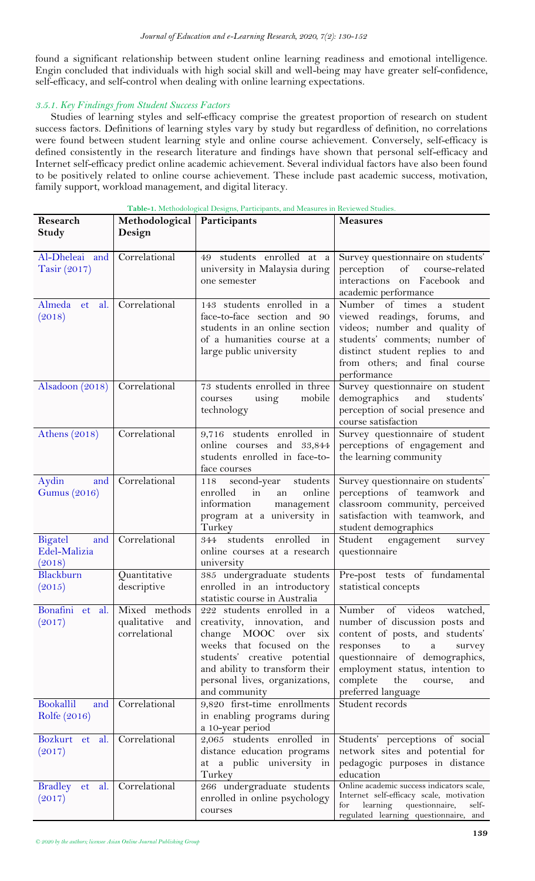found a significant relationship between student online learning readiness and emotional intelligence. Engin concluded that individuals with high social skill and well-being may have greater self-confidence, self-efficacy, and self-control when dealing with online learning expectations.

## *3.5.1. Key Findings from Student Success Factors*

Studies of learning styles and self-efficacy comprise the greatest proportion of research on student success factors. Definitions of learning styles vary by study but regardless of definition, no correlations were found between student learning style and online course achievement. Conversely, self-efficacy is defined consistently in the research literature and findings have shown that personal self-efficacy and Internet self-efficacy predict online academic achievement. Several individual factors have also been found to be positively related to online course achievement. These include past academic success, motivation, family support, workload management, and digital literacy.

| Research<br><b>Study</b>                 | Methodological<br>Design                             | Participants                                                                                                                                                                                                                                 | <b>Measures</b>                                                                                                                                                                                                                                                  |
|------------------------------------------|------------------------------------------------------|----------------------------------------------------------------------------------------------------------------------------------------------------------------------------------------------------------------------------------------------|------------------------------------------------------------------------------------------------------------------------------------------------------------------------------------------------------------------------------------------------------------------|
| Al-Dheleai and<br>Tasir(2017)            | Correlational                                        | 49 students enrolled at a<br>university in Malaysia during<br>one semester                                                                                                                                                                   | Survey questionnaire on students'<br>of<br>perception<br>course-related<br>interactions on Facebook and<br>academic performance                                                                                                                                  |
| Almeda et<br>al.<br>(2018)               | Correlational                                        | 143 students enrolled in a<br>face-to-face section and 90<br>students in an online section<br>of a humanities course at a<br>large public university                                                                                         | Number of times a<br>student<br>viewed readings, forums, and<br>videos; number and quality of<br>students' comments; number of<br>distinct student replies to and<br>from others; and final course<br>performance                                                |
| Alsadoon (2018)                          | Correlational                                        | 73 students enrolled in three<br>using<br>mobile<br>courses<br>technology                                                                                                                                                                    | Survey questionnaire on student<br>demographics<br>and<br>students'<br>perception of social presence and<br>course satisfaction                                                                                                                                  |
| Athens $(2018)$                          | Correlational                                        | 9,716 students enrolled in<br>online courses<br>and<br>33,844<br>students enrolled in face-to-<br>face courses                                                                                                                               | Survey questionnaire of student<br>perceptions of engagement and<br>the learning community                                                                                                                                                                       |
| Aydin<br>and<br><b>Gumus</b> (2016)      | Correlational                                        | second-year<br>students<br>118<br>enrolled<br>in<br>online<br>an<br>information<br>management<br>program at a university in<br>Turkey                                                                                                        | Survey questionnaire on students'<br>perceptions of teamwork and<br>classroom community, perceived<br>satisfaction with teamwork, and<br>student demographics                                                                                                    |
| Bigatel<br>and<br>Edel-Malizia<br>(2018) | Correlational                                        | enrolled<br>students<br>in<br>344<br>online courses at a research<br>university                                                                                                                                                              | Student<br>engagement<br>survey<br>questionnaire                                                                                                                                                                                                                 |
| Blackburn<br>(2015)                      | Quantitative<br>descriptive                          | 385 undergraduate students<br>enrolled in an introductory<br>statistic course in Australia                                                                                                                                                   | Pre-post tests of fundamental<br>statistical concepts                                                                                                                                                                                                            |
| Bonafini et al.<br>(2017)                | Mixed methods<br>qualitative<br>and<br>correlational | 222 students enrolled in a<br>creativity, innovation,<br>and<br>change MOOC over<br>six<br>weeks that focused on<br>the<br>students' creative potential<br>and ability to transform their<br>personal lives, organizations,<br>and community | Number of videos watched,<br>number of discussion posts and<br>content of posts, and students'<br>responses<br>to<br>a<br>survey<br>questionnaire of demographics,<br>employment status, intention to<br>complete<br>the<br>course,<br>and<br>preferred language |
| Bookallil<br>and<br>Rolfe (2016)         | Correlational                                        | 9,820 first-time enrollments<br>in enabling programs during<br>a 10-year period                                                                                                                                                              | Student records                                                                                                                                                                                                                                                  |
| Bozkurt et al.<br>(2017)                 | Correlational                                        | 2,065 students enrolled in<br>distance education programs<br>at a public university in<br>Turkey                                                                                                                                             | Students' perceptions of social<br>network sites and potential for<br>pedagogic purposes in distance<br>education                                                                                                                                                |
| Bradley et<br>al.<br>(2017)              | Correlational                                        | 266 undergraduate students<br>enrolled in online psychology<br>courses                                                                                                                                                                       | Online academic success indicators scale,<br>Internet self-efficacy scale, motivation<br>learning<br>questionnaire,<br>for<br>self-<br>regulated learning questionnaire, and                                                                                     |

**Table-1.** Methodological Designs, Participants, and Measures in Reviewed Studies.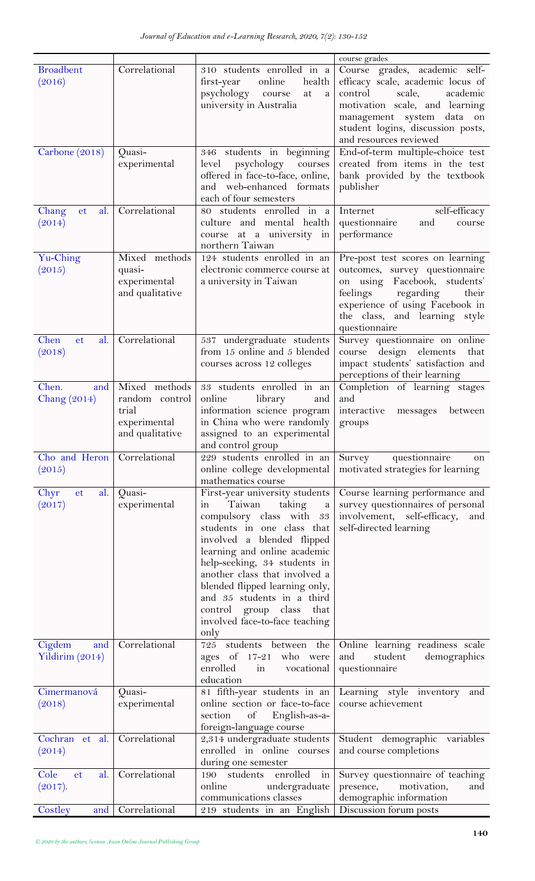|                                  |                                                                             |                                                                                                                                                                                                                                                                                                                                                                                                            | course grades                                                                                                                                                                                                                     |
|----------------------------------|-----------------------------------------------------------------------------|------------------------------------------------------------------------------------------------------------------------------------------------------------------------------------------------------------------------------------------------------------------------------------------------------------------------------------------------------------------------------------------------------------|-----------------------------------------------------------------------------------------------------------------------------------------------------------------------------------------------------------------------------------|
| <b>Broadbent</b><br>(2016)       | Correlational                                                               | 310 students enrolled in a<br>online<br>health<br>first-year<br>psychology<br>course<br>at<br>a<br>university in Australia                                                                                                                                                                                                                                                                                 | Course grades, academic self-<br>efficacy scale, academic locus of<br>scale,<br>control<br>academic<br>motivation scale, and learning<br>management system data on<br>student logins, discussion posts,<br>and resources reviewed |
| Carbone (2018)                   | Quasi-<br>experimental                                                      | 346 students in beginning<br>psychology<br>courses<br>level<br>offered in face-to-face, online,<br>and web-enhanced formats<br>each of four semesters                                                                                                                                                                                                                                                      | End-of-term multiple-choice test<br>created from items in the test<br>bank provided by the textbook<br>publisher                                                                                                                  |
| al.<br>Chang<br>et<br>(2014)     | Correlational                                                               | 80 students enrolled in a<br>culture and mental health<br>course at a university in<br>northern Taiwan                                                                                                                                                                                                                                                                                                     | self-efficacy<br>Internet<br>questionnaire<br>and<br>course<br>performance                                                                                                                                                        |
| Yu-Ching<br>(2015)               | Mixed methods<br>quasi-<br>experimental<br>and qualitative                  | 124 students enrolled in an<br>electronic commerce course at<br>a university in Taiwan                                                                                                                                                                                                                                                                                                                     | Pre-post test scores on learning<br>outcomes, survey questionnaire<br>on using Facebook, students'<br>feelings<br>regarding<br>their<br>experience of using Facebook in<br>the class, and learning style<br>questionnaire         |
| Chen<br>et<br>al.<br>(2018)      | Correlational                                                               | 537 undergraduate students<br>from 15 online and 5 blended<br>courses across 12 colleges                                                                                                                                                                                                                                                                                                                   | Survey questionnaire on online<br>design elements<br>course<br>that<br>impact students' satisfaction and<br>perceptions of their learning                                                                                         |
| Chen.<br>and<br>Chang $(2014)$   | Mixed methods<br>random control<br>trial<br>experimental<br>and qualitative | 33 students enrolled in an<br>online<br>library<br>and<br>information science program<br>in China who were randomly<br>assigned to an experimental<br>and control group                                                                                                                                                                                                                                    | Completion of learning stages<br>and<br>interactive<br>between<br>messages<br>groups                                                                                                                                              |
| Cho and Heron<br>(2015)          | Correlational                                                               | 229 students enrolled in an<br>online college developmental<br>mathematics course                                                                                                                                                                                                                                                                                                                          | questionnaire<br>Survey<br>on<br>motivated strategies for learning                                                                                                                                                                |
| Chyr<br>al.<br>et<br>(2017)      | Quasi-<br>experimental                                                      | First-year university students<br>Taiwan<br>taking<br>$\mathbf{a}$<br>in<br>compulsory class with 33<br>students in one class that<br>involved a blended flipped<br>learning and online academic<br>help-seeking, 34 students in<br>another class that involved a<br>blended flipped learning only,<br>and 35 students in a third<br>control group class<br>that<br>involved face-to-face teaching<br>only | Course learning performance and<br>survey questionnaires of personal<br>involvement, self-efficacy,<br>and<br>self-directed learning                                                                                              |
| Cigdem<br>and<br>Yildirim (2014) | Correlational                                                               | 725 students between the<br>ages of $17-21$<br>who were<br>enrolled<br>$\frac{1}{2}$<br>vocational<br>education                                                                                                                                                                                                                                                                                            | Online learning readiness scale<br>and<br>student<br>demographics<br>questionnaire                                                                                                                                                |
| Cimermanová<br>(2018)            | Quasi-<br>experimental                                                      | 81 fifth-year students in an<br>online section or face-to-face<br>of English-as-a-<br>section<br>foreign-language course                                                                                                                                                                                                                                                                                   | Learning style inventory and<br>course achievement                                                                                                                                                                                |
| Cochran et al.<br>(2014)         | Correlational                                                               | 2,314 undergraduate students<br>enrolled in online courses<br>during one semester                                                                                                                                                                                                                                                                                                                          | Student demographic variables<br>and course completions                                                                                                                                                                           |
| Cole<br>al.<br>et<br>(2017).     | Correlational                                                               | $\frac{1}{2}$<br>190 students enrolled<br>undergraduate<br>online<br>communications classes                                                                                                                                                                                                                                                                                                                | Survey questionnaire of teaching<br>presence,<br>motivation,<br>and<br>demographic information                                                                                                                                    |
| Costley<br>and                   | Correlational                                                               | 219 students in an English                                                                                                                                                                                                                                                                                                                                                                                 | Discussion forum posts                                                                                                                                                                                                            |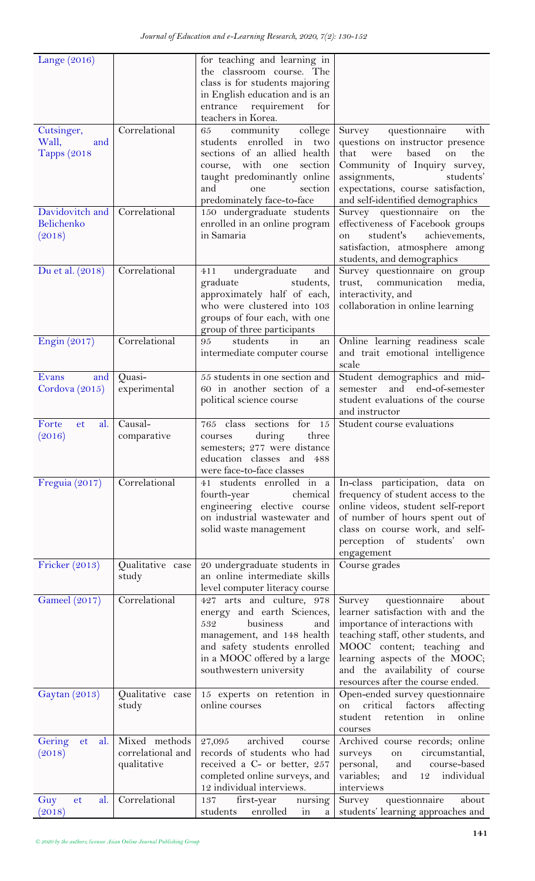| Lange $(2016)$                                    |                                                   | for teaching and learning in<br>the classroom course. The<br>class is for students majoring<br>in English education and is an<br>entrance<br>requirement<br>for<br>teachers in Korea.                             |                                                                                                                                                                                                                                                                                       |
|---------------------------------------------------|---------------------------------------------------|-------------------------------------------------------------------------------------------------------------------------------------------------------------------------------------------------------------------|---------------------------------------------------------------------------------------------------------------------------------------------------------------------------------------------------------------------------------------------------------------------------------------|
| Cutsinger,<br>Wall,<br>and<br><b>Tapps</b> (2018) | Correlational                                     | community<br>college<br>65<br>students enrolled in two<br>sections of an allied health<br>with<br>section<br>one<br>course,<br>taught predominantly online<br>section<br>and<br>one<br>predominately face-to-face | questionnaire<br>Survey<br>with<br>questions on instructor presence<br>that<br>based<br>the<br>on<br>were<br>Community of Inquiry survey,<br>assignments,<br>students'<br>expectations, course satisfaction,<br>and self-identified demographics                                      |
| Davidovitch and<br>Belichenko<br>(2018)           | Correlational                                     | 150 undergraduate students<br>enrolled in an online program<br>in Samaria                                                                                                                                         | Survey questionnaire on the<br>effectiveness of Facebook groups<br>student's<br>achievements,<br>on<br>satisfaction, atmosphere among<br>students, and demographics                                                                                                                   |
| Du et al. (2018)                                  | Correlational                                     | undergraduate<br>411<br>and<br>graduate<br>students,<br>approximately half of each,<br>who were clustered into 103<br>groups of four each, with one<br>group of three participants                                | Survey questionnaire on group<br>trust, communication<br>media,<br>interactivity, and<br>collaboration in online learning                                                                                                                                                             |
| Engin (2017)                                      | Correlational                                     | students<br>95<br>in<br>an<br>intermediate computer course                                                                                                                                                        | Online learning readiness scale<br>and trait emotional intelligence<br>scale                                                                                                                                                                                                          |
| Evans<br>and<br>Cordova (2015)                    | Quasi-<br>experimental                            | 55 students in one section and<br>60 in another section of a<br>political science course                                                                                                                          | Student demographics and mid-<br>semester and end-of-semester<br>student evaluations of the course<br>and instructor                                                                                                                                                                  |
| Forte<br>al.<br>et<br>(2016)                      | Causal-<br>comparative                            | sections<br>for<br>765 class<br>15<br>three<br>during<br>courses<br>semesters; 277 were distance<br>education classes and 488<br>were face-to-face classes                                                        | Student course evaluations                                                                                                                                                                                                                                                            |
| Freguia (2017)                                    | Correlational                                     | 41 students enrolled in a<br>fourth-year<br>chemical<br>engineering elective course<br>on industrial wastewater and<br>solid waste management                                                                     | In-class participation, data on<br>frequency of student access to the<br>online videos, student self-report<br>of number of hours spent out of<br>class on course work, and self-<br>perception of students'<br>own<br>engagement                                                     |
| Fricker (2013)                                    | Qualitative case<br>study                         | 20 undergraduate students in<br>an online intermediate skills<br>level computer literacy course                                                                                                                   | Course grades                                                                                                                                                                                                                                                                         |
| <b>Gameel</b> (2017)                              | Correlational                                     | 427 arts and culture, 978<br>energy and earth Sciences,<br>business<br>532<br>and<br>management, and 148 health<br>and safety students enrolled<br>in a MOOC offered by a large<br>southwestern university        | Survey<br>questionnaire<br>about<br>learner satisfaction with and the<br>importance of interactions with<br>teaching staff, other students, and<br>MOOC content; teaching and<br>learning aspects of the MOOC;<br>and the availability of course<br>resources after the course ended. |
| Gaytan (2013)                                     | Qualitative case<br>study                         | 15 experts on retention in<br>online courses                                                                                                                                                                      | Open-ended survey questionnaire<br>factors<br>affecting<br>critical<br>on<br>online<br>student<br>retention<br>in<br>courses                                                                                                                                                          |
| Gering<br>al.<br>et<br>(2018)                     | Mixed methods<br>correlational and<br>qualitative | archived<br>27,095<br>course<br>records of students who had<br>received a C- or better, 257<br>completed online surveys, and<br>12 individual interviews.                                                         | Archived course records; online<br>circumstantial,<br>surveys<br>on<br>personal,<br>course-based<br>and<br>variables;<br>and<br>individual<br>12<br>interviews                                                                                                                        |
| Guy<br>al.<br>et<br>(2018)                        | Correlational                                     | first-year<br>nursing<br>137<br>enrolled<br>students<br>$\frac{1}{2}$<br>$\mathbf{a}$                                                                                                                             | questionnaire<br>Survey<br>about<br>students' learning approaches and                                                                                                                                                                                                                 |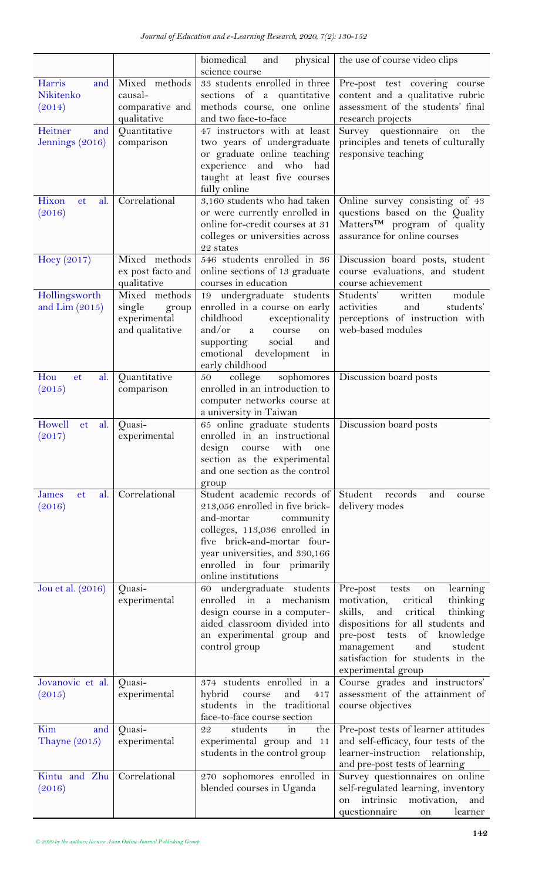|                                   |                              | biomedical<br>physical<br>and<br>science course                 | the use of course video clips                                       |
|-----------------------------------|------------------------------|-----------------------------------------------------------------|---------------------------------------------------------------------|
| Harris<br>and                     | Mixed methods                | 33 students enrolled in three                                   | Pre-post test covering course                                       |
| Nikitenko                         | causal-                      | sections of a quantitative                                      | content and a qualitative rubric                                    |
| (2014)                            | comparative and              | methods course, one online                                      | assessment of the students' final                                   |
|                                   | qualitative                  | and two face-to-face                                            | research projects                                                   |
| Heitner<br>and                    | Quantitative                 | 47 instructors with at least                                    | Survey questionnaire on<br>the                                      |
| Jennings (2016)                   | comparison                   | two years of undergraduate                                      | principles and tenets of culturally                                 |
|                                   |                              | or graduate online teaching                                     | responsive teaching                                                 |
|                                   |                              | experience<br>and<br>who<br>had<br>taught at least five courses |                                                                     |
|                                   |                              | fully online                                                    |                                                                     |
| Hixon<br>al.<br><sub>et</sub>     | Correlational                | 3,160 students who had taken                                    | Online survey consisting of 43                                      |
| (2016)                            |                              | or were currently enrolled in                                   | questions based on the Quality                                      |
|                                   |                              | online for-credit courses at 31                                 | Matters <sup>TM</sup> program of quality                            |
|                                   |                              | colleges or universities across                                 | assurance for online courses                                        |
|                                   |                              | 22 states                                                       |                                                                     |
| Hoey $(2017)$                     | Mixed methods                | 546 students enrolled in 36                                     | Discussion board posts, student                                     |
|                                   | ex post facto and            | online sections of 13 graduate                                  | course evaluations, and student                                     |
|                                   | qualitative<br>Mixed methods | courses in education                                            | course achievement<br>Students'<br>module<br>written                |
| Hollingsworth<br>and $Lim (2015)$ | single<br>group              | 19 undergraduate students<br>enrolled in a course on early      | activities<br>students'<br>and                                      |
|                                   | experimental                 | exceptionality<br>childhood                                     | perceptions of instruction with                                     |
|                                   | and qualitative              | and/or<br><sub>a</sub><br>course<br>on                          | web-based modules                                                   |
|                                   |                              | supporting<br>social<br>and                                     |                                                                     |
|                                   |                              | emotional<br>development<br>in                                  |                                                                     |
|                                   |                              | early childhood                                                 |                                                                     |
| Hou<br>et<br>al.                  | Quantitative                 | sophomores<br>college<br>50                                     | Discussion board posts                                              |
| (2015)                            | comparison                   | enrolled in an introduction to<br>computer networks course at   |                                                                     |
|                                   |                              | a university in Taiwan                                          |                                                                     |
| Howell<br>et<br>al.               | Quasi-                       | 65 online graduate students                                     | Discussion board posts                                              |
| (2017)                            | experimental                 | enrolled in an instructional                                    |                                                                     |
|                                   |                              | design<br>with<br>course<br>one                                 |                                                                     |
|                                   |                              | section as the experimental                                     |                                                                     |
|                                   |                              | and one section as the control                                  |                                                                     |
| al.<br>James<br><sub>et</sub>     | Correlational                | group<br>Student academic records of                            | Student<br>records<br>and<br>course                                 |
| (2016)                            |                              | 213,056 enrolled in five brick-                                 | delivery modes                                                      |
|                                   |                              | and-mortar<br>community                                         |                                                                     |
|                                   |                              | colleges, 113,036 enrolled in                                   |                                                                     |
|                                   |                              | five brick-and-mortar four-                                     |                                                                     |
|                                   |                              | year universities, and 330,166                                  |                                                                     |
|                                   |                              | enrolled in four primarily<br>online institutions               |                                                                     |
| Jou et al. (2016)                 | Quasi-                       | undergraduate students<br>60                                    | Pre-post<br>learning<br>tests<br>on                                 |
|                                   | experimental                 | mechanism<br>enrolled in<br>a                                   | motivation,<br>critical<br>thinking                                 |
|                                   |                              | design course in a computer-                                    | skills,<br>critical<br>and<br>thinking                              |
|                                   |                              | aided classroom divided into                                    | dispositions for all students and                                   |
|                                   |                              | an experimental group and                                       | pre-post tests of knowledge                                         |
|                                   |                              | control group                                                   | management<br>and<br>student                                        |
|                                   |                              |                                                                 | satisfaction for students in the                                    |
| Jovanovic et al.                  | Quasi-                       | 374 students enrolled in a                                      | experimental group<br>Course grades and instructors'                |
| (2015)                            | experimental                 | hybrid<br>and<br>course<br>417                                  | assessment of the attainment of                                     |
|                                   |                              | students in the traditional                                     | course objectives                                                   |
|                                   |                              | face-to-face course section                                     |                                                                     |
| Kim<br>and                        | Quasi-                       | the<br>students<br>in<br>22                                     | Pre-post tests of learner attitudes                                 |
| Thayne $(2015)$                   | experimental                 | experimental group and 11                                       | and self-efficacy, four tests of the                                |
|                                   |                              | students in the control group                                   | learner-instruction relationship,<br>and pre-post tests of learning |
| Kintu and Zhu                     | Correlational                | 270 sophomores enrolled in                                      | Survey questionnaires on online                                     |
| (2016)                            |                              | blended courses in Uganda                                       | self-regulated learning, inventory                                  |
|                                   |                              |                                                                 | intrinsic<br>motivation,<br>and<br>on                               |
|                                   |                              |                                                                 | questionnaire<br>learner<br>on                                      |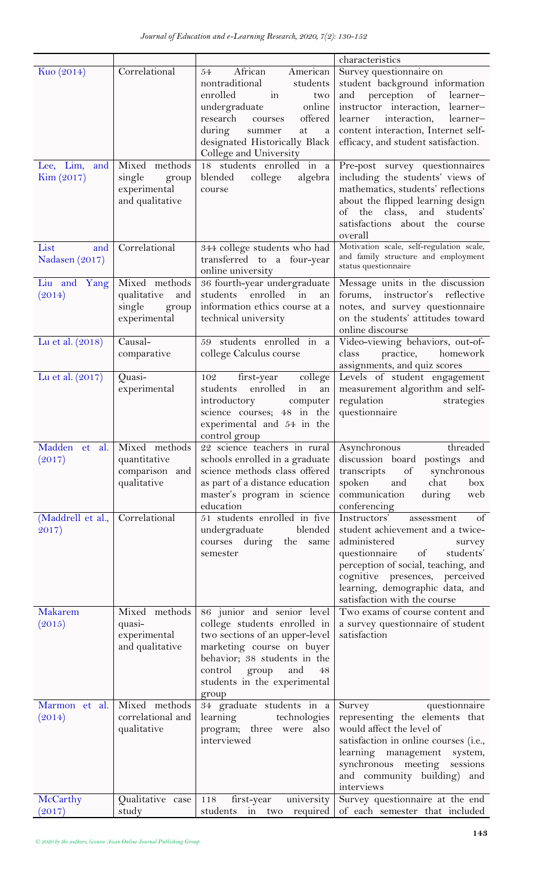| Kuo (2014)        | Correlational                   | African<br>American<br>54                                   | characteristics<br>Survey questionnaire on                              |
|-------------------|---------------------------------|-------------------------------------------------------------|-------------------------------------------------------------------------|
|                   |                                 | nontraditional<br>students                                  | student background information                                          |
|                   |                                 | in<br>enrolled<br>two                                       | perception of<br>and<br>learner-                                        |
|                   |                                 | undergraduate<br>online                                     | instructor interaction, learner-                                        |
|                   |                                 | research<br>offered<br>courses                              | interaction,<br>learner<br>learner-                                     |
|                   |                                 | during<br>at<br>a<br>summer                                 | content interaction, Internet self-                                     |
|                   |                                 | designated Historically Black<br>College and University     | efficacy, and student satisfaction.                                     |
| Lee, Lim,<br>and  | Mixed methods                   | 18 students enrolled in a                                   | Pre-post survey questionnaires                                          |
| Kim (2017)        | single<br>group                 | blended<br>college<br>algebra                               | including the students' views of                                        |
|                   | experimental<br>and qualitative | course                                                      | mathematics, students' reflections<br>about the flipped learning design |
|                   |                                 |                                                             | of the class, and students'                                             |
|                   |                                 |                                                             | satisfactions about the course                                          |
|                   |                                 |                                                             | overall                                                                 |
| List<br>and       | Correlational                   | 344 college students who had                                | Motivation scale, self-regulation scale,                                |
| Nadasen (2017)    |                                 | transferred to a four-year<br>online university             | and family structure and employment<br>status questionnaire             |
| Liu and Yang      | Mixed methods                   | 36 fourth-year undergraduate                                | Message units in the discussion                                         |
| (2014)            | qualitative<br>and              | students enrolled in<br>an                                  | forums, instructor's reflective                                         |
|                   | single<br>group<br>experimental | information ethics course at a<br>technical university      | notes, and survey questionnaire<br>on the students' attitudes toward    |
|                   |                                 |                                                             | online discourse                                                        |
| Lu et al. (2018)  | Causal-                         | 59 students enrolled in a                                   | Video-viewing behaviors, out-of-                                        |
|                   | comparative                     | college Calculus course                                     | practice,<br>class<br>homework                                          |
| Lu et al. (2017)  | Quasi-                          | college<br>first-year<br>102                                | assignments, and quiz scores<br>Levels of student engagement            |
|                   | experimental                    | students<br>enrolled<br>$\operatorname{in}$<br>an           | measurement algorithm and self-                                         |
|                   |                                 | introductory<br>computer                                    | regulation<br>strategies                                                |
|                   |                                 | science courses; 48 in the                                  | questionnaire                                                           |
|                   |                                 | experimental and 54 in the                                  |                                                                         |
| Madden et al.     | Mixed methods                   | control group<br>22 science teachers in rural               | threaded<br>Asynchronous                                                |
| (2017)            | quantitative                    | schools enrolled in a graduate                              | discussion board postings and                                           |
|                   | comparison and                  | science methods class offered                               | transcripts<br>of<br>synchronous                                        |
|                   | qualitative                     | as part of a distance education                             | spoken<br>chat<br>box<br>and                                            |
|                   |                                 | master's program in science<br>education                    | communication<br>during<br>web<br>conferencing                          |
| (Maddrell et al., | Correlational                   | 51 students enrolled in five                                | Instructors'<br>of<br>assessment                                        |
| 2017)             |                                 | undergraduate<br>blended                                    | student achievement and a twice-                                        |
|                   |                                 | courses during<br>the<br>same                               | administered<br>survey                                                  |
|                   |                                 | semester                                                    | questionnaire of<br>students'                                           |
|                   |                                 |                                                             | perception of social, teaching, and<br>cognitive presences, perceived   |
|                   |                                 |                                                             | learning, demographic data, and                                         |
|                   |                                 |                                                             | satisfaction with the course                                            |
| Makarem           | Mixed methods                   | 86 junior and senior level                                  | Two exams of course content and                                         |
| (2015)            | quasi-                          | college students enrolled in                                | a survey questionnaire of student<br>satisfaction                       |
|                   | experimental<br>and qualitative | two sections of an upper-level<br>marketing course on buyer |                                                                         |
|                   |                                 | behavior; 38 students in the                                |                                                                         |
|                   |                                 | control<br>group<br>and<br>48                               |                                                                         |
|                   |                                 | students in the experimental                                |                                                                         |
| Marmon et al.     | Mixed methods                   | group<br>34 graduate students in a                          | questionnaire<br>Survey                                                 |
| (2014)            | correlational and               | learning<br>technologies                                    | representing the elements that                                          |
|                   | qualitative                     | program; three were<br>also                                 | would affect the level of                                               |
|                   |                                 | interviewed                                                 | satisfaction in online courses (i.e.,                                   |
|                   |                                 |                                                             | learning management<br>system,                                          |
|                   |                                 |                                                             | synchronous meeting<br>sessions<br>and community building) and          |
|                   |                                 |                                                             | interviews                                                              |
| McCarthy          | Qualitative case                | first-year<br>118<br>university                             | Survey questionnaire at the end                                         |
| (2017)            | study                           | students<br>required<br>in<br>two                           | of each semester that included                                          |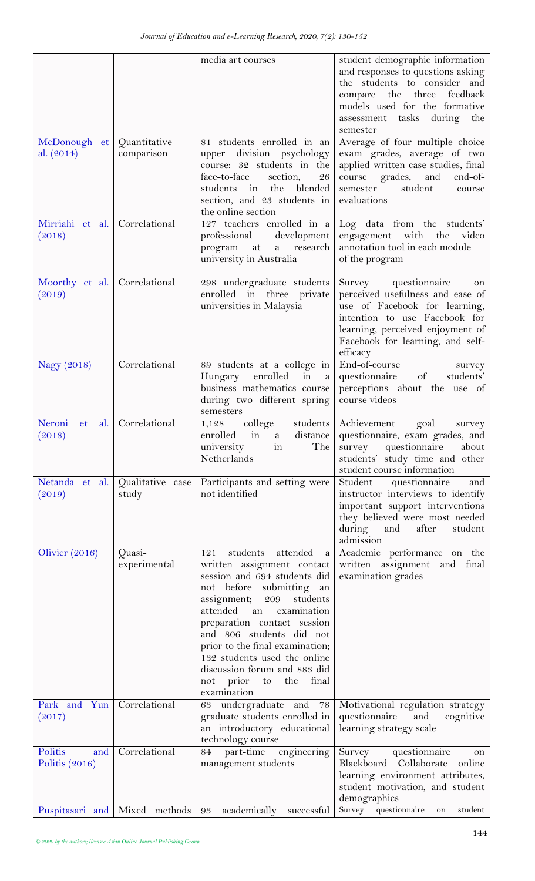|                                    |                            | media art courses                                                                                                                                                                                                                                                                                                                                                                                            | student demographic information                                                                                                                                                                                         |
|------------------------------------|----------------------------|--------------------------------------------------------------------------------------------------------------------------------------------------------------------------------------------------------------------------------------------------------------------------------------------------------------------------------------------------------------------------------------------------------------|-------------------------------------------------------------------------------------------------------------------------------------------------------------------------------------------------------------------------|
|                                    |                            |                                                                                                                                                                                                                                                                                                                                                                                                              | and responses to questions asking<br>the students to consider and<br>compare the three<br>feedback<br>models used for the formative<br>assessment tasks during the<br>semester                                          |
| McDonough et<br>al. $(2014)$       | Quantitative<br>comparison | 81 students enrolled in an<br>upper division psychology<br>course: 32 students in the<br>face-to-face<br>section,<br>26<br>blended<br>the<br>students<br>in<br>section, and 23 students in<br>the online section                                                                                                                                                                                             | Average of four multiple choice<br>exam grades, average of two<br>applied written case studies, final<br>grades, and<br>end-of-<br>course<br>student<br>semester<br>course<br>evaluations                               |
| Mirriahi et al.<br>(2018)          | Correlational              | 127 teachers enrolled in a<br>professional<br>development<br>program<br>at<br>research<br>a<br>university in Australia                                                                                                                                                                                                                                                                                       | Log data from the students'<br>engagement with the<br>video<br>annotation tool in each module<br>of the program                                                                                                         |
| Moorthy et al.<br>(2019)           | Correlational              | 298 undergraduate students<br>enrolled in three private<br>universities in Malaysia                                                                                                                                                                                                                                                                                                                          | questionnaire<br>Survey<br>on<br>perceived usefulness and ease of<br>use of Facebook for learning,<br>intention to use Facebook for<br>learning, perceived enjoyment of<br>Facebook for learning, and self-<br>efficacy |
| Nagy (2018)                        | Correlational              | 89 students at a college in<br>$\operatorname{in}$<br>Hungary<br>enrolled<br>a<br>business mathematics course<br>during two different spring<br>semesters                                                                                                                                                                                                                                                    | End-of-course<br>survey<br>of<br>questionnaire<br>students'<br>perceptions about the use of<br>course videos                                                                                                            |
| Neroni<br>al.<br>et<br>(2018)      | Correlational              | college<br>students<br>1,128<br>enrolled<br>$\overline{m}$<br>a<br>The 1<br>university<br>in<br>Netherlands                                                                                                                                                                                                                                                                                                  | Achievement<br>goal<br>survey<br>distance   questionnaire, exam grades, and<br>survey questionnaire<br>about<br>students' study time and other<br>student course information                                            |
| Netanda et al.<br>(2019)           | Qualitative case<br>study  | Participants and setting were<br>not identified                                                                                                                                                                                                                                                                                                                                                              | Student<br>questionnaire<br>and<br>instructor interviews to identify<br>important support interventions<br>they believed were most needed<br>after<br>during<br>and<br>student<br>admission                             |
| Olivier (2016)                     | Quasi-<br>experimental     | students<br>attended<br>121<br>$\mathbf{a}$<br>written assignment contact<br>session and 694 students did<br>not before submitting an<br>assignment; 209 students<br>attended an<br>examination<br>preparation contact session<br>and 806 students did not<br>prior to the final examination;<br>132 students used the online<br>discussion forum and 883 did<br>to the<br>final<br>not prior<br>examination | Academic performance on the<br>written assignment and final<br>examination grades                                                                                                                                       |
| Park and Yun<br>(2017)             | Correlational              | 63 undergraduate and<br>78<br>graduate students enrolled in<br>an introductory educational<br>technology course                                                                                                                                                                                                                                                                                              | Motivational regulation strategy<br>questionnaire<br>cognitive<br>and<br>learning strategy scale                                                                                                                        |
| Politis<br>and<br>Politis $(2016)$ | Correlational              | 84 part-time<br>engineering<br>management students                                                                                                                                                                                                                                                                                                                                                           | Survey<br>questionnaire<br>on<br>Blackboard Collaborate<br>online<br>learning environment attributes,<br>student motivation, and student<br>demographics                                                                |
| Puspitasari and                    | Mixed methods   93         | academically<br>successful                                                                                                                                                                                                                                                                                                                                                                                   | Survey questionnaire<br>student<br>on                                                                                                                                                                                   |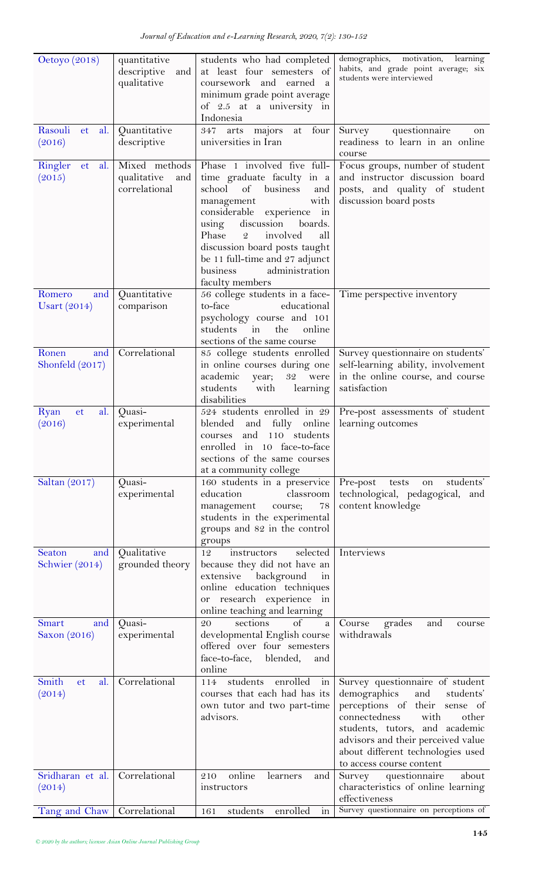| Oetoyo (2018)                         | quantitative           | students who had completed                                          | demographics,<br>motivation, learning                                  |
|---------------------------------------|------------------------|---------------------------------------------------------------------|------------------------------------------------------------------------|
|                                       | descriptive<br>and     | at least four semesters of                                          | habits, and grade point average; six<br>students were interviewed      |
|                                       | qualitative            | coursework and<br>earned<br>a<br>minimum grade point average        |                                                                        |
|                                       |                        | of 2.5 at a university in                                           |                                                                        |
|                                       |                        | Indonesia                                                           |                                                                        |
| Rasouli<br>et<br>al.                  | Quantitative           | majors at four<br>347<br>arts                                       | questionnaire<br>Survey<br>on                                          |
| (2016)                                | descriptive            | universities in Iran                                                | readiness to learn in an online                                        |
| Ringler<br>al.<br>et                  | Mixed methods          | Phase 1 involved five full-                                         | course<br>Focus groups, number of student                              |
| (2015)                                | qualitative<br>and     | time graduate faculty in a                                          | and instructor discussion board                                        |
|                                       | correlational          | school<br>business<br>of<br>and                                     | posts, and quality of student                                          |
|                                       |                        | with<br>management<br>considerable<br>experience<br>$\frac{1}{2}$   | discussion board posts                                                 |
|                                       |                        | discussion<br>boards.<br>using                                      |                                                                        |
|                                       |                        | Phase<br>$\mathcal{Q}$<br>involved<br>all                           |                                                                        |
|                                       |                        | discussion board posts taught                                       |                                                                        |
|                                       |                        | be 11 full-time and 27 adjunct<br>administration<br>business        |                                                                        |
|                                       |                        | faculty members                                                     |                                                                        |
| Romero<br>and                         | Quantitative           | 56 college students in a face-                                      | Time perspective inventory                                             |
| Usart $(2014)$                        | comparison             | to-face<br>educational                                              |                                                                        |
|                                       |                        | psychology course and 101<br>students<br>the<br>online<br>$\sin$    |                                                                        |
|                                       |                        | sections of the same course                                         |                                                                        |
| Ronen<br>and                          | Correlational          | 85 college students enrolled                                        | Survey questionnaire on students'                                      |
| Shonfeld $(2017)$                     |                        | in online courses during one<br>academic<br>32<br>were<br>year;     | self-learning ability, involvement<br>in the online course, and course |
|                                       |                        | students<br>with<br>learning                                        | satisfaction                                                           |
|                                       |                        | disabilities                                                        |                                                                        |
| Ryan<br>al.<br>et                     | Quasi-                 | 524 students enrolled in 29                                         | Pre-post assessments of student                                        |
| (2016)                                | experimental           | blended<br>fully<br>online<br>and<br>and<br>110 students<br>courses | learning outcomes                                                      |
|                                       |                        | enrolled in 10 face-to-face                                         |                                                                        |
|                                       |                        | sections of the same courses                                        |                                                                        |
| Saltan (2017)                         | Quasi-                 | at a community college<br>160 students in a preservice              | Pre-post<br>tests<br>students'<br>on                                   |
|                                       | experimental           | education<br>classroom                                              | technological, pedagogical,<br>and                                     |
|                                       |                        | management<br>78<br>course;                                         | content knowledge                                                      |
|                                       |                        | students in the experimental<br>groups and 82 in the control        |                                                                        |
|                                       |                        | groups                                                              |                                                                        |
| Seaton<br>and                         | Qualitative            | selected<br>instructors<br>12                                       | Interviews                                                             |
| Schwier (2014)                        | grounded theory        | because they did not have an                                        |                                                                        |
|                                       |                        | background<br>extensive<br>in<br>online education techniques        |                                                                        |
|                                       |                        | or research experience in                                           |                                                                        |
|                                       |                        | online teaching and learning                                        |                                                                        |
| <b>Smart</b><br>and<br>Saxon $(2016)$ | Quasi-<br>experimental | sections<br>of<br>20<br>a<br>developmental English course           | Course<br>and<br>grades<br>course<br>withdrawals                       |
|                                       |                        | offered over four semesters                                         |                                                                        |
|                                       |                        | face-to-face,<br>blended,<br>and                                    |                                                                        |
| Smith<br>al.<br>et                    | Correlational          | online<br>enrolled<br>114<br>students<br>$\frac{1}{2}$              | Survey questionnaire of student                                        |
| (2014)                                |                        | courses that each had has its                                       | demographics<br>and<br>students'                                       |
|                                       |                        | own tutor and two part-time                                         | perceptions of their<br>sense of                                       |
|                                       |                        | advisors.                                                           | with<br>connectedness<br>other                                         |
|                                       |                        |                                                                     | students, tutors, and academic<br>advisors and their perceived value   |
|                                       |                        |                                                                     | about different technologies used                                      |
|                                       |                        |                                                                     | to access course content                                               |
| Sridharan et al.<br>(2014)            | Correlational          | online<br>210<br>learners<br>and<br>instructors                     | questionnaire<br>about<br>Survey<br>characteristics of online learning |
|                                       |                        |                                                                     | effectiveness                                                          |
| Tang and Chaw                         | Correlational          | enrolled<br>students<br>in<br>161                                   | Survey questionnaire on perceptions of                                 |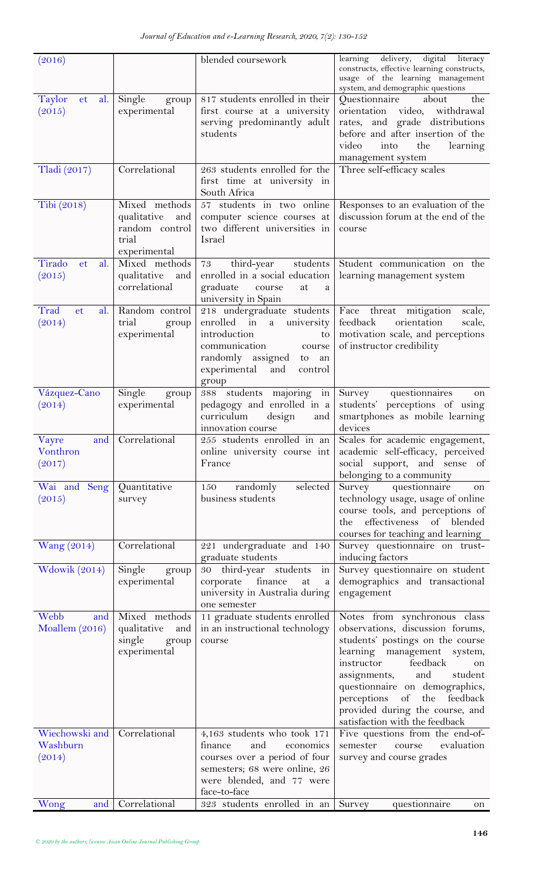| (2016)                               |                                                                                | blended coursework                                                                                                                                                                        | delivery, digital literacy<br>learning<br>constructs, effective learning constructs,<br>usage of the learning management<br>system, and demographic questions<br>Questionnaire about                                                                                                                                                                   |
|--------------------------------------|--------------------------------------------------------------------------------|-------------------------------------------------------------------------------------------------------------------------------------------------------------------------------------------|--------------------------------------------------------------------------------------------------------------------------------------------------------------------------------------------------------------------------------------------------------------------------------------------------------------------------------------------------------|
| Taylor<br>al.<br><b>et</b><br>(2015) | Single<br>group<br>experimental                                                | 817 students enrolled in their<br>first course at a university<br>serving predominantly adult<br>students                                                                                 | the<br>orientation video, withdrawal<br>rates, and grade distributions<br>before and after insertion of the<br>video<br>into<br>the<br>learning<br>management system                                                                                                                                                                                   |
| Tladi (2017)                         | Correlational                                                                  | 263 students enrolled for the<br>first time at university in<br>South Africa                                                                                                              | Three self-efficacy scales                                                                                                                                                                                                                                                                                                                             |
| Tibi (2018)                          | Mixed methods<br>qualitative<br>and<br>random control<br>trial<br>experimental | 57 students in two online<br>computer science courses at<br>two different universities in<br>Israel                                                                                       | Responses to an evaluation of the<br>discussion forum at the end of the<br>course                                                                                                                                                                                                                                                                      |
| Tirado<br>al.<br>et<br>(2015)        | Mixed methods<br>qualitative<br>and<br>correlational                           | third-year<br>students<br>73<br>enrolled in a social education<br>graduate<br>course<br>at<br>a<br>university in Spain                                                                    | Student communication on the<br>learning management system                                                                                                                                                                                                                                                                                             |
| Trad<br>al.<br>et<br>(2014)          | Random control<br>trial<br>group<br>experimental                               | 218 undergraduate students<br>enrolled in<br>university<br>a<br>introduction<br>to<br>communication<br>course<br>randomly assigned<br>to<br>an<br>experimental<br>and<br>control<br>group | Face threat mitigation<br>scale,<br>feedback<br>orientation<br>scale,<br>motivation scale, and perceptions<br>of instructor credibility                                                                                                                                                                                                                |
| Vázquez-Cano<br>(2014)               | Single<br>group<br>experimental                                                | 388 students majoring in<br>pedagogy and enrolled in a<br>curriculum<br>design<br>and<br>innovation course                                                                                | Survey questionnaires<br>on<br>students' perceptions of using<br>smartphones as mobile learning<br>devices                                                                                                                                                                                                                                             |
| Vayre<br>Vonthron<br>(2017)          | and Correlational                                                              | online university course int<br>France                                                                                                                                                    | 255 students enrolled in an Scales for academic engagement,<br>academic self-efficacy, perceived<br>social support, and sense of<br>belonging to a community                                                                                                                                                                                           |
| Wai and Seng<br>(2015)               | Quantitative<br>survey                                                         | selected<br>randomly<br>150<br>business students                                                                                                                                          | Survey questionnaire<br>on<br>technology usage, usage of online<br>course tools, and perceptions of<br>effectiveness of blended<br>the<br>courses for teaching and learning                                                                                                                                                                            |
| <b>Wang</b> (2014)                   | Correlational                                                                  | 221 undergraduate and 140<br>graduate students                                                                                                                                            | Survey questionnaire on trust-<br>inducing factors                                                                                                                                                                                                                                                                                                     |
| Wdowik (2014)                        | Single<br>group<br>experimental                                                | in<br>30 third-year students<br>corporate finance<br>at<br>a<br>university in Australia during<br>one semester                                                                            | Survey questionnaire on student<br>demographics and transactional<br>engagement                                                                                                                                                                                                                                                                        |
| Webb<br>and<br>Moallem (2016)        | Mixed methods<br>qualitative<br>and<br>group<br>single<br>experimental         | 11 graduate students enrolled<br>in an instructional technology<br>course                                                                                                                 | Notes from synchronous class<br>observations, discussion forums,<br>students' postings on the course<br>learning management system,<br>feedback<br>instructor<br><sub>on</sub><br>student<br>assignments,<br>and<br>questionnaire on demographics,<br>perceptions of the feedback<br>provided during the course, and<br>satisfaction with the feedback |
| Wiechowski and<br>Washburn<br>(2014) | Correlational                                                                  | 4,163 students who took 171<br>and<br>finance<br>economics<br>courses over a period of four<br>semesters; 68 were online, 26<br>were blended, and 77 were<br>face-to-face                 | Five questions from the end-of-<br>semester<br>evaluation<br>course<br>survey and course grades                                                                                                                                                                                                                                                        |
| Wong<br>and                          | Correlational                                                                  | 323 students enrolled in an Survey                                                                                                                                                        | questionnaire<br>on                                                                                                                                                                                                                                                                                                                                    |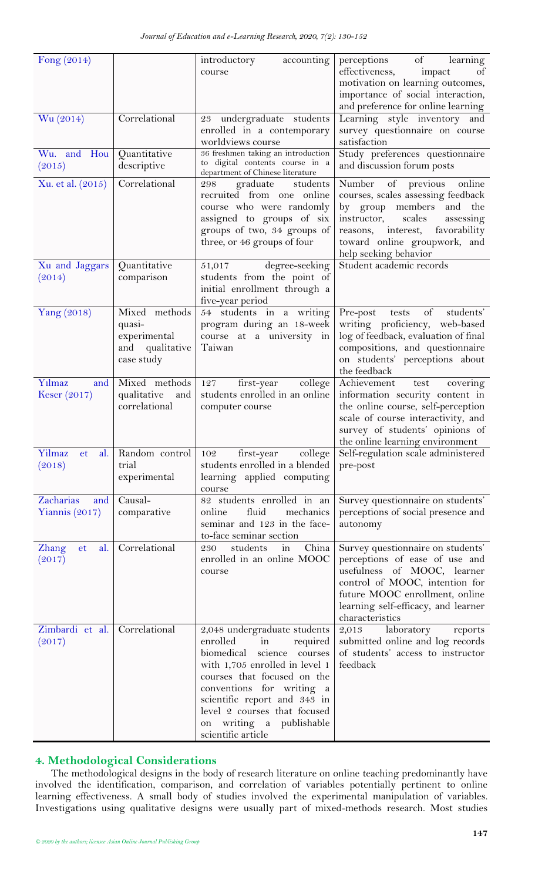| Fong $(2014)$                            |                                                                             | introductory<br>accounting<br>course                                                                                                                                                                                                                                                                              | perceptions<br>of<br>learning<br>effectiveness,<br>of<br>impact<br>motivation on learning outcomes,<br>importance of social interaction,<br>and preference for online learning                                                         |
|------------------------------------------|-----------------------------------------------------------------------------|-------------------------------------------------------------------------------------------------------------------------------------------------------------------------------------------------------------------------------------------------------------------------------------------------------------------|----------------------------------------------------------------------------------------------------------------------------------------------------------------------------------------------------------------------------------------|
| Wu (2014)                                | Correlational                                                               | 23 undergraduate students<br>enrolled in a contemporary<br>worldviews course                                                                                                                                                                                                                                      | Learning style inventory and<br>survey questionnaire on course<br>satisfaction                                                                                                                                                         |
| Wu. and Hou<br>(2015)                    | Quantitative<br>descriptive                                                 | 36 freshmen taking an introduction<br>to digital contents course in a<br>department of Chinese literature                                                                                                                                                                                                         | Study preferences questionnaire<br>and discussion forum posts                                                                                                                                                                          |
| Xu. et al. (2015)                        | Correlational                                                               | graduate<br>298<br>students<br>recruited from one online<br>course who were randomly<br>assigned to groups of six<br>groups of two, 34 groups of<br>three, or 46 groups of four                                                                                                                                   | Number of previous<br>online<br>courses, scales assessing feedback<br>by group members<br>and the<br>instructor,<br>scales<br>assessing<br>reasons, interest,<br>favorability<br>toward online groupwork, and<br>help seeking behavior |
| Xu and Jaggars<br>(2014)                 | Quantitative<br>comparison                                                  | degree-seeking<br>51,017<br>students from the point of<br>initial enrollment through a<br>five-year period                                                                                                                                                                                                        | Student academic records                                                                                                                                                                                                               |
| Yang (2018)                              | Mixed methods<br>quasi-<br>experimental<br>qualitative<br>and<br>case study | 54 students in a writing<br>program during an 18-week<br>course at a university in<br>Taiwan                                                                                                                                                                                                                      | of<br>students'<br>Pre-post<br>tests<br>writing proficiency, web-based<br>log of feedback, evaluation of final<br>compositions, and questionnaire<br>on students' perceptions about<br>the feedback                                    |
| Yılmaz<br>and<br>Keser $(2017)$          | Mixed methods<br>qualitative<br>and<br>correlational                        | first-year<br>college<br>127<br>students enrolled in an online<br>computer course                                                                                                                                                                                                                                 | Achievement<br>test<br>covering<br>information security content in<br>the online course, self-perception<br>scale of course interactivity, and<br>survey of students' opinions of<br>the online learning environment                   |
| Yilmaz<br>al.<br><sub>et</sub><br>(2018) | Random control<br>trial<br>experimental                                     | college<br>first-year<br>102<br>students enrolled in a blended<br>learning applied computing<br>course                                                                                                                                                                                                            | Self-regulation scale administered<br>pre-post                                                                                                                                                                                         |
| Zacharias<br>and<br>Yiannis (2017)       | Causal-<br>comparative                                                      | 82 students enrolled in an<br>fluid<br>mechanics<br>online<br>seminar and 123 in the face-<br>to-face seminar section                                                                                                                                                                                             | Survey questionnaire on students'<br>perceptions of social presence and<br>autonomy                                                                                                                                                    |
| Zhang<br>al.<br>et<br>(2017)             | Correlational                                                               | China<br>students<br>230<br>in<br>enrolled in an online MOOC<br>course                                                                                                                                                                                                                                            | Survey questionnaire on students'<br>perceptions of ease of use and<br>usefulness of MOOC, learner<br>control of MOOC, intention for<br>future MOOC enrollment, online<br>learning self-efficacy, and learner<br>characteristics       |
| Zimbardi et al.<br>(2017)                | Correlational                                                               | 2,048 undergraduate students<br>enrolled<br>in<br>required<br>biomedical<br>science<br>courses<br>with 1,705 enrolled in level 1<br>courses that focused on the<br>conventions for writing a<br>scientific report and 343 in<br>level 2 courses that focused<br>on writing a<br>publishable<br>scientific article | laboratory<br>2,013<br>reports<br>submitted online and log records<br>of students' access to instructor<br>feedback                                                                                                                    |

## <span id="page-19-0"></span>**4. Methodological Considerations**

The methodological designs in the body of research literature on online teaching predominantly have involved the identification, comparison, and correlation of variables potentially pertinent to online learning effectiveness. A small body of studies involved the experimental manipulation of variables. Investigations using qualitative designs were usually part of mixed-methods research. Most studies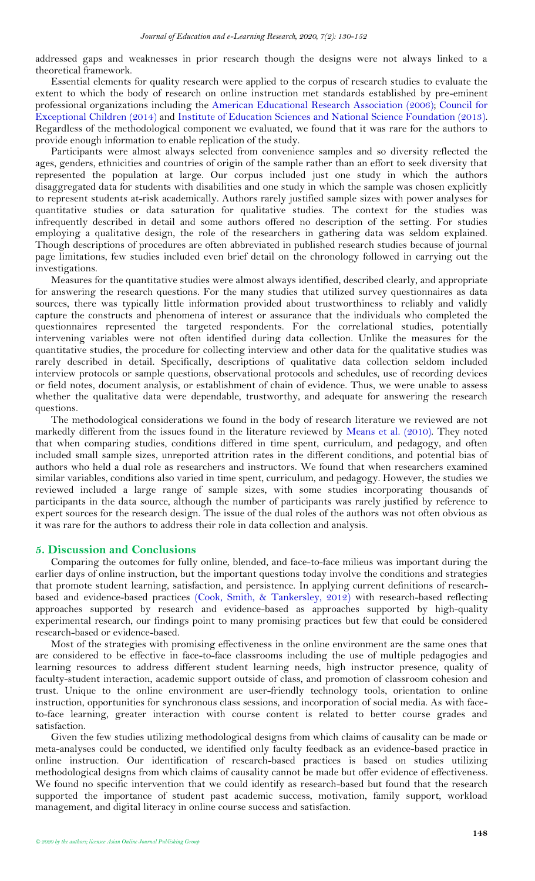addressed gaps and weaknesses in prior research though the designs were not always linked to a theoretical framework.

Essential elements for quality research were applied to the corpus of research studies to evaluate the extent to which the body of research on online instruction met standards established by pre-eminent professional organizations including the [American Educational Research Association \(2006\)](#page-21-21); [Council for](#page-22-35)  [Exceptional Children \(2014\)](#page-22-35) and [Institute of Education Sciences and National Science Foundation \(2013\)](#page-22-36). Regardless of the methodological component we evaluated, we found that it was rare for the authors to provide enough information to enable replication of the study.

Participants were almost always selected from convenience samples and so diversity reflected the ages, genders, ethnicities and countries of origin of the sample rather than an effort to seek diversity that represented the population at large. Our corpus included just one study in which the authors disaggregated data for students with disabilities and one study in which the sample was chosen explicitly to represent students at-risk academically. Authors rarely justified sample sizes with power analyses for quantitative studies or data saturation for qualitative studies. The context for the studies was infrequently described in detail and some authors offered no description of the setting. For studies employing a qualitative design, the role of the researchers in gathering data was seldom explained. Though descriptions of procedures are often abbreviated in published research studies because of journal page limitations, few studies included even brief detail on the chronology followed in carrying out the investigations.

Measures for the quantitative studies were almost always identified, described clearly, and appropriate for answering the research questions. For the many studies that utilized survey questionnaires as data sources, there was typically little information provided about trustworthiness to reliably and validly capture the constructs and phenomena of interest or assurance that the individuals who completed the questionnaires represented the targeted respondents. For the correlational studies, potentially intervening variables were not often identified during data collection. Unlike the measures for the quantitative studies, the procedure for collecting interview and other data for the qualitative studies was rarely described in detail. Specifically, descriptions of qualitative data collection seldom included interview protocols or sample questions, observational protocols and schedules, use of recording devices or field notes, document analysis, or establishment of chain of evidence. Thus, we were unable to assess whether the qualitative data were dependable, trustworthy, and adequate for answering the research questions.

The methodological considerations we found in the body of research literature we reviewed are not markedly different from the issues found in the literature reviewed by [Means et al. \(2010\)](#page-23-0). They noted that when comparing studies, conditions differed in time spent, curriculum, and pedagogy, and often included small sample sizes, unreported attrition rates in the different conditions, and potential bias of authors who held a dual role as researchers and instructors. We found that when researchers examined similar variables, conditions also varied in time spent, curriculum, and pedagogy. However, the studies we reviewed included a large range of sample sizes, with some studies incorporating thousands of participants in the data source, although the number of participants was rarely justified by reference to expert sources for the research design. The issue of the dual roles of the authors was not often obvious as it was rare for the authors to address their role in data collection and analysis.

## <span id="page-20-0"></span>**5. Discussion and Conclusions**

Comparing the outcomes for fully online, blended, and face-to-face milieus was important during the earlier days of online instruction, but the important questions today involve the conditions and strategies that promote student learning, satisfaction, and persistence. In applying current definitions of researchbased and evidence-based practices [\(Cook, Smith, & Tankersley, 2012\)](#page-22-37) with research-based reflecting approaches supported by research and evidence-based as approaches supported by high-quality experimental research, our findings point to many promising practices but few that could be considered research-based or evidence-based.

Most of the strategies with promising effectiveness in the online environment are the same ones that are considered to be effective in face-to-face classrooms including the use of multiple pedagogies and learning resources to address different student learning needs, high instructor presence, quality of faculty-student interaction, academic support outside of class, and promotion of classroom cohesion and trust. Unique to the online environment are user-friendly technology tools, orientation to online instruction, opportunities for synchronous class sessions, and incorporation of social media. As with faceto-face learning, greater interaction with course content is related to better course grades and satisfaction.

Given the few studies utilizing methodological designs from which claims of causality can be made or meta-analyses could be conducted, we identified only faculty feedback as an evidence-based practice in online instruction. Our identification of research-based practices is based on studies utilizing methodological designs from which claims of causality cannot be made but offer evidence of effectiveness. We found no specific intervention that we could identify as research-based but found that the research supported the importance of student past academic success, motivation, family support, workload management, and digital literacy in online course success and satisfaction.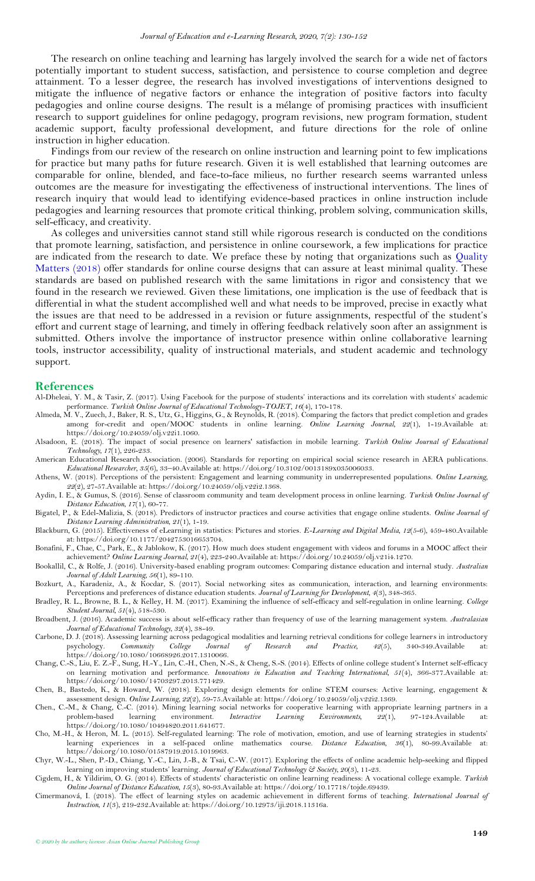The research on online teaching and learning has largely involved the search for a wide net of factors potentially important to student success, satisfaction, and persistence to course completion and degree attainment. To a lesser degree, the research has involved investigations of interventions designed to mitigate the influence of negative factors or enhance the integration of positive factors into faculty pedagogies and online course designs. The result is a mélange of promising practices with insufficient research to support guidelines for online pedagogy, program revisions, new program formation, student academic support, faculty professional development, and future directions for the role of online instruction in higher education.

Findings from our review of the research on online instruction and learning point to few implications for practice but many paths for future research. Given it is well established that learning outcomes are comparable for online, blended, and face-to-face milieus, no further research seems warranted unless outcomes are the measure for investigating the effectiveness of instructional interventions. The lines of research inquiry that would lead to identifying evidence-based practices in online instruction include pedagogies and learning resources that promote critical thinking, problem solving, communication skills, self-efficacy, and creativity.

As colleges and universities cannot stand still while rigorous research is conducted on the conditions that promote learning, satisfaction, and persistence in online coursework, a few implications for practice are indicated from the research to date. We preface these by noting that organizations such as Quality [Matters \(2018\)](#page-23-37) offer standards for online course designs that can assure at least minimal quality. These standards are based on published research with the same limitations in rigor and consistency that we found in the research we reviewed. Given these limitations, one implication is the use of feedback that is differential in what the student accomplished well and what needs to be improved, precise in exactly what the issues are that need to be addressed in a revision or future assignments, respectful of the student's effort and current stage of learning, and timely in offering feedback relatively soon after an assignment is submitted. Others involve the importance of instructor presence within online collaborative learning tools, instructor accessibility, quality of instructional materials, and student academic and technology support.

#### <span id="page-21-0"></span>**References**

- <span id="page-21-6"></span>Al-Dheleai, Y. M., & Tasir, Z. (2017). Using Facebook for the purpose of students' interactions and its correlation with students' academic performance. *Turkish Online Journal of Educational Technology-TOJET, 16*(4), 170-178.
- <span id="page-21-10"></span>Almeda, M. V., Zuech, J., Baker, R. S., Utz, G., Higgins, G., & Reynolds, R. (2018). Comparing the factors that predict completion and grades among for-credit and open/MOOC students in online learning. *Online Learning Journal, 22*(1), 1-19.Available at: https://doi.org/10.24059/olj.v22i1.1060.
- <span id="page-21-11"></span>Alsadoon, E. (2018). The impact of social presence on learners' satisfaction in mobile learning. *Turkish Online Journal of Educational Technology, 17*(1), 226-233.
- <span id="page-21-21"></span>American Educational Research Association. (2006). Standards for reporting on empirical social science research in AERA publications. *Educational Researcher, 35*(6), 33–40.Available at: https://doi.org/10.3102/0013189x035006033.
- <span id="page-21-12"></span>Athens, W. (2018). Perceptions of the persistent: Engagement and learning community in underrepresented populations. *Online Learning, 22*(2), 27-57.Available at: https://doi.org/10.24059/olj.v22i2.1368.
- <span id="page-21-13"></span>Aydin, I. E., & Gumus, S. (2016). Sense of classroom community and team development process in online learning. *Turkish Online Journal of Distance Education, 17*(1), 60-77.
- <span id="page-21-14"></span>Bigatel, P., & Edel-Malizia, S. (2018). Predictors of instructor practices and course activities that engage online students. *Online Journal of Distance Learning Administration, 21*(1), 1-19.
- <span id="page-21-8"></span>Blackburn, G. (2015). Effectiveness of eLearning in statistics: Pictures and stories. *E-Learning and Digital Media, 12*(5-6), 459-480.Available at: https://doi.org/10.1177/2042753016653704.
- <span id="page-21-4"></span>Bonafini, F., Chae, C., Park, E., & Jablokow, K. (2017). How much does student engagement with videos and forums in a MOOC affect their achievement? *Online Learning Journal, 21*(4), 223-240.Available at: https://doi.org/10.24059/olj.v21i4.1270.
- <span id="page-21-3"></span>Bookallil, C., & Rolfe, J. (2016). University-based enabling program outcomes: Comparing distance education and internal study. *Australian Journal of Adult Learning, 56*(1), 89-110.
- <span id="page-21-7"></span>Bozkurt, A., Karadeniz, A., & Kocdar, S. (2017). Social networking sites as communication, interaction, and learning environments: Perceptions and preferences of distance education students. *Journal of Learning for Development, 4*(3), 348-365.
- <span id="page-21-18"></span>Bradley, R. L., Browne, B. L., & Kelley, H. M. (2017). Examining the influence of self-efficacy and self-regulation in online learning. *College Student Journal, 51*(4), 518-530.
- <span id="page-21-19"></span>Broadbent, J. (2016). Academic success is about self-efficacy rather than frequency of use of the learning management system. *Australasian Journal of Educational Technology, 32*(4), 38-49.
- <span id="page-21-1"></span>Carbone, D. J. (2018). Assessing learning across pedagogical modalities and learning retrieval conditions for college learners in introductory psychology. *Community College Journal of Research and Practice, 42*(5), 340-349.Available at: https://doi.org/10.1080/10668926.2017.1310066.
- <span id="page-21-17"></span>Chang, C.-S., Liu, E. Z.-F., Sung, H.-Y., Lin, C.-H., Chen, N.-S., & Cheng, S.-S. (2014). Effects of online college student's Internet self-efficacy on learning motivation and performance. *Innovations in Education and Teaching International, 51*(4), 366-377.Available at: https://doi.org/10.1080/14703297.2013.771429.
- <span id="page-21-2"></span>Chen, B., Bastedo, K., & Howard, W. (2018). Exploring design elements for online STEM courses: Active learning, engagement & assessment design. *Online Learning, 22*(2), 59-75.Available at: https://doi.org/10.24059/olj.v22i2.1369.
- <span id="page-21-9"></span>Chen., C.-M., & Chang, C.-C. (2014). Mining learning social networks for cooperative learning with appropriate learning partners in a problem-based learning environment. Interactive Learning Environments, 22(1), 97-124. Av problem-based learning environment. *Interactive Learning Environments, 22*(1), 97-124.Available at: https://doi.org/10.1080/10494820.2011.641677.
- <span id="page-21-20"></span>Cho, M.-H., & Heron, M. L. (2015). Self-regulated learning: The role of motivation, emotion, and use of learning strategies in students' learning experiences in a self-paced online mathematics course. *Distance Education, 36*(1), 80-99.Available at: https://doi.org/10.1080/01587919.2015.1019963.
- <span id="page-21-5"></span>Chyr, W.-L., Shen, P.-D., Chiang, Y.-C., Lin, J.-B., & Tsai, C.-W. (2017). Exploring the effects of online academic help-seeking and flipped learning on improving students' learning. *Journal of Educational Technology & Society, 20*(3), 11-23.
- <span id="page-21-15"></span>Cigdem, H., & Yildirim, O. G. (2014). Effects of students' characteristic on online learning readiness: A vocational college example. *Turkish Online Journal of Distance Education, 15*(3), 80-93.Available at: https://doi.org/10.17718/tojde.69439.
- <span id="page-21-16"></span>Cimermanová, I. (2018). The effect of learning styles on academic achievement in different forms of teaching. *International Journal of Instruction, 11*(3), 219-232.Available at: https://doi.org/10.12973/iji.2018.11316a.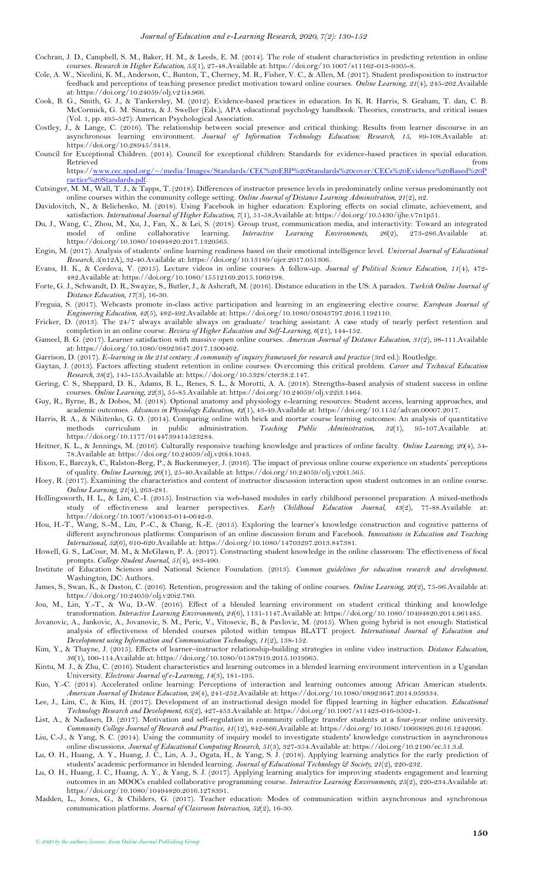- <span id="page-22-6"></span>Cochran, J. D., Campbell, S. M., Baker, H. M., & Leeds, E. M. (2014). The role of student characteristics in predicting retention in online courses. *Research in Higher Education, 55*(1), 27-48.Available at: https://doi.org/10.1007/s11162-013-9305-8.
- <span id="page-22-24"></span>Cole, A. W., Nicolini, K. M., Anderson, C., Bunton, T., Cherney, M. R., Fisher, V. C., & Allen, M. (2017). Student predisposition to instructor feedback and perceptions of teaching presence predict motivation toward online courses. *Online Learning, 21*(4), 245-262.Available at: https://doi.org/10.24059/olj.v21i4.966.
- <span id="page-22-37"></span>Cook, B. G., Smith, G. J., & Tankersley, M. (2012). Evidence-based practices in education. In K. R. Harris, S. Graham, T. dan, C. B. McCormick, G. M. Sinatra, & J. Sweller (Eds.), APA educational psychology handbook: Theories, constructs, and critical issues (Vol. 1, pp. 495-527): American Psychological Association.
- <span id="page-22-29"></span>Costley, J., & Lange, C. (2016). The relationship between social presence and critical thinking: Results from learner discourse in an asynchronous learning environment. *Journal of Information Technology Education: Research, 15*, 89-108.Available at: https://doi.org/10.28945/3418.
- <span id="page-22-35"></span>Council for Exceptional Children. (2014). Council for exceptional children: Standards for evidence-based practices in special education. Retrieved that the contract of the contract of the contract of the contract of the contract of the contract of the contract of the contract of the contract of the contract of the contract of the contract of the contract of

https:/[/www.cec.sped.org/~/media/Images/Standards/CEC%20EBP%20Standards%20cover/CECs%20Evidence%20Based%20P](http://www.cec.sped.org/~/media/Images/Standards/CEC%20EBP%20Standards%20cover/CECs%20Evidence%20Based%20Practice%20Standards.pdf) [ractice%20Standards.pdf.](http://www.cec.sped.org/~/media/Images/Standards/CEC%20EBP%20Standards%20cover/CECs%20Evidence%20Based%20Practice%20Standards.pdf)

- <span id="page-22-23"></span>Cutsinger, M. M., Wall, T. J., & Tapps, T. (2018). Differences of instructor presence levels in predominately online versus predominantly not online courses within the community college setting. *Online Journal of Distance Learning Administration, 21*(2), n2.
- <span id="page-22-21"></span>Davidovitch, N., & Belichenko, M. (2018). Using Facebook in higher education: Exploring effects on social climate, achievement, and satisfaction. *International Journal of Higher Education, 7*(1), 51-58.Available at: https://doi.org/10.5430/ijhe.v7n1p51.
- <span id="page-22-4"></span>Du, J., Wang, C., Zhou, M., Xu, J., Fan, X., & Lei, S. (2018). Group trust, communication media, and interactivity: Toward an integrated model of online collaborative learning. *Interactive Learning Environments, 26*(2), 273-286.Available at: https://doi.org/10.1080/10494820.2017.1320565.
- <span id="page-22-33"></span>Engin, M. (2017). Analysis of students' online learning readiness based on their emotional intelligence level. *Universal Journal of Educational Research, 5*(n12A), 32-40.Available at: https://doi.org/10.13189/ujer.2017.051306.
- <span id="page-22-19"></span>Evans, H. K., & Cordova, V. (2015). Lecture videos in online courses: A follow-up. *Journal of Political Science Education, 11*(4), 472- 482.Available at: https://doi.org/10.1080/15512169.2015.1069198.
- <span id="page-22-2"></span>Forte, G. J., Schwandt, D. R., Swayze, S., Butler, J., & Ashcraft, M. (2016). Distance education in the US: A paradox. *Turkish Online Journal of Distance Education, 17*(3), 16-30.
- <span id="page-22-17"></span>Freguia, S. (2017). Webcasts promote in-class active participation and learning in an engineering elective course. *European Journal of Engineering Education, 42*(5), 482-492.Available at: https://doi.org/10.1080/03043797.2016.1192110.
- <span id="page-22-10"></span>Fricker, D. (2013). The 24/7 always available always on graduate/ teaching assistant: A case study of nearly perfect retention and completion in an online course. *Review of Higher Education and Self-Learning, 6*(21), 144-152.
- <span id="page-22-27"></span>Gameel, B. G. (2017). Learner satisfaction with massive open online courses. *American Journal of Distance Education, 31*(2), 98-111.Available at: https://doi.org/10.1080/08923647.2017.1300462.

<span id="page-22-28"></span>Garrison, D. (2017). *E-learning in the 21st century: A community of inquiry framework for research and practice* (3rd ed.): Routledge.

- <span id="page-22-9"></span>Gaytan, J. (2013). Factors affecting student retention in online courses: Overcoming this critical problem. *Career and Technical Education Research, 38*(2), 145-155.Available at: https://doi.org/10.5328/cter38.2.147.
- <span id="page-22-7"></span>Gering, C. S., Sheppard, D. K., Adams, B. L., Renes, S. L., & Morotti, A. A. (2018). Strengths-based analysis of student success in online courses. *Online Learning, 22*(3), 55-85.Available at: https://doi.org/10.24059/olj.v22i3.1464.
- <span id="page-22-20"></span>Guy, R., Byrne, B., & Dobos, M. (2018). Optional anatomy and physiology e-learning resources: Student access, learning approaches, and academic outcomes. *Advances in Physiology Education, 42*(1), 43-49.Available at: https://doi.org/10.1152/advan.00007.2017.
- <span id="page-22-0"></span>Harris, R. A., & Nikitenko, G. O. (2014). Comparing online with brick and mortar course learning outcomes: An analysis of quantitative methods curriculum in public administration. *Teaching Public Administration*, 32(1), 9 methods curriculum in public administration. Teaching Public Administration, 32(1), 95-107. Available https://doi.org/10.1177/0144739414523284.
- <span id="page-22-25"></span>Heitner, K. L., & Jennings, M. (2016). Culturally responsive teaching knowledge and practices of online faculty. *Online Learning, 20*(4), 54- 78.Available at: https://doi.org/10.24059/olj.v20i4.1043.
- <span id="page-22-8"></span>Hixon, E., Barczyk, C., Ralston-Berg, P., & Buckenmeyer, J. (2016). The impact of previous online course experience on students' perceptions of quality. *Online Learning, 20*(1), 25-40.Available at: https://doi.org/10.24059/olj.v20i1.565.
- <span id="page-22-14"></span>Hoey, R. (2017). Examining the characteristics and content of instructor discussion interaction upon student outcomes in an online course. *Online Learning, 21*(4), 263-281.
- <span id="page-22-22"></span>Hollingsworth, H. L., & Lim, C.-I. (2015). Instruction via web-based modules in early childhood personnel preparation: A mixed-methods study of effectiveness and learner perspectives. *Early Childhood Education Journal, 43*(2), 77-88.Available at: https://doi.org/10.1007/s10643-014-0642-9.
- <span id="page-22-16"></span>Hou, H.-T., Wang, S.-M., Lin, P.-C., & Chang, K.-E. (2015). Exploring the learner's knowledge construction and cognitive patterns of different asynchronous platforms: Comparison of an online discussion forum and Facebook. *Innovations in Education and Teaching International, 52*(6), 610-620.Available at: https://doi.org/10.1080/14703297.2013.847381.
- <span id="page-22-12"></span>Howell, G. S., LaCour, M. M., & McGlawn, P. A. (2017). Constructing student knowledge in the online classroom: The effectiveness of focal prompts. *College Student Journal, 51*(4), 483-490.
- <span id="page-22-36"></span>Institute of Education Sciences and National Science Foundation. (2013). *Common guidelines for education research and development*. Washington, DC: Authors.
- <span id="page-22-5"></span>James, S., Swan, K., & Daston, C. (2016). Retention, progression and the taking of online courses. *Online Learning, 20*(2), 75-96.Available at: https://doi.org/10.24059/olj.v20i2.780.
- <span id="page-22-3"></span>Jou, M., Lin, Y.-T., & Wu, D.-W. (2016). Effect of a blended learning environment on student critical thinking and knowledge transformation. *Interactive Learning Environments, 24*(6), 1131-1147.Available at: https://doi.org/10.1080/10494820.2014.961485.
- <span id="page-22-1"></span>Jovanovic, A., Jankovic, A., Jovanovic, S. M., Peric, V., Vitosevic, B., & Pavlovic, M. (2015). When going hybrid is not enough: Statistical analysis of effectiveness of blended courses piloted within tempus BLATT project. *International Journal of Education and Development using Information and Communication Technology, 11*(2), 138-152.
- <span id="page-22-18"></span>Kim, Y., & Thayne, J. (2015). Effects of learner–instructor relationship-building strategies in online video instruction. *Distance Education, 36*(1), 100-114.Available at: https://doi.org/10.1080/01587919.2015.1019965.

<span id="page-22-30"></span>Kintu, M. J., & Zhu, C. (2016). Student characteristics and learning outcomes in a blended learning environment intervention in a Ugandan University. *Electronic Journal of e-Learning, 14*(3), 181-195.

- <span id="page-22-26"></span>Kuo, Y.-C. (2014). Accelerated online learning: Perceptions of interaction and learning outcomes among African American students. *American Journal of Distance Education, 28*(4), 241-252.Available at: https://doi.org/10.1080/08923647.2014.959334.
- <span id="page-22-34"></span>Lee, J., Lim, C., & Kim, H. (2017). Development of an instructional design model for flipped learning in higher education. *Educational Technology Research and Development, 65*(2), 427-453.Available at: https://doi.org/10.1007/s11423-016-9502-1.
- <span id="page-22-32"></span>List, A., & Nadasen, D. (2017). Motivation and self-regulation in community college transfer students at a four-year online university. *Community College Journal of Research and Practice, 41*(12), 842-866.Available at: https://doi.org/10.1080/10668926.2016.1242096.
- <span id="page-22-13"></span>Liu, C.-J., & Yang, S. C. (2014). Using the community of inquiry model to investigate students' knowledge construction in asynchronous online discussions. *Journal of Educational Computing Research, 51*(3), 327-354.Available at: https://doi.org/10.2190/ec.51.3.d.
- <span id="page-22-31"></span>Lu, O. H., Huang, A. Y., Huang, J. C., Lin, A. J., Ogata, H., & Yang, S. J. (2018). Applying learning analytics for the early prediction of students' academic performance in blended learning. *Journal of Educational Technology & Society, 21*(2), 220-232.
- <span id="page-22-11"></span>Lu, O. H., Huang, J. C., Huang, A. Y., & Yang, S. J. (2017). Applying learning analytics for improving students engagement and learning outcomes in an MOOCs enabled collaborative programming course. *Interactive Learning Environments, 25*(2), 220-234.Available at: https://doi.org/10.1080/10494820.2016.1278391.
- <span id="page-22-15"></span>Madden, L., Jones, G., & Childers, G. (2017). Teacher education: Modes of communication within asynchronous and synchronous communication platforms. *Journal of Classroom Interaction, 52*(2), 16-30.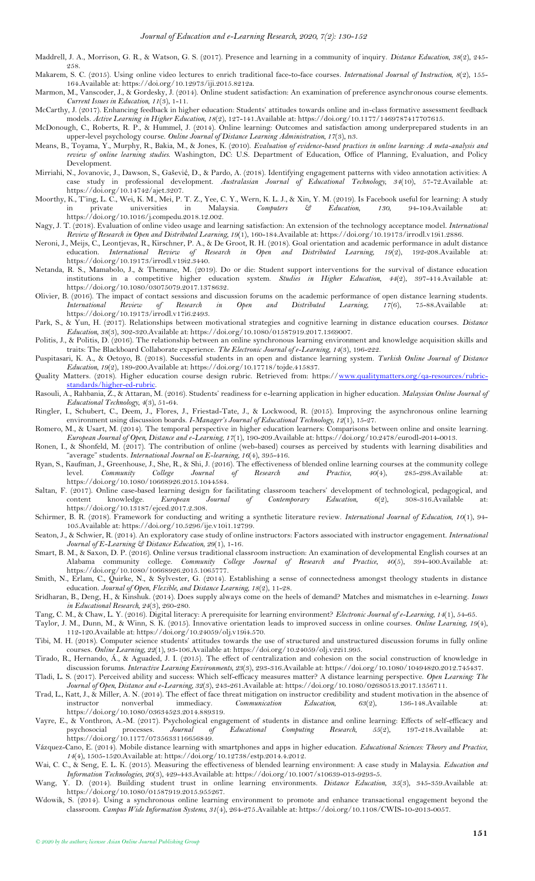- <span id="page-23-28"></span>Maddrell, J. A., Morrison, G. R., & Watson, G. S. (2017). Presence and learning in a community of inquiry. *Distance Education, 38*(2), 245- 258.
- <span id="page-23-19"></span>Makarem, S. C. (2015). Using online video lectures to enrich traditional face-to-face courses. *International Journal of Instruction, 8*(2), 155- 164.Available at: https://doi.org/10.12973/iji.2015.8212a.
- <span id="page-23-6"></span>Marmon, M., Vanscoder, J., & Gordesky, J. (2014). Online student satisfaction: An examination of preference asynchronous course elements. *Current Issues in Education, 11*(3), 1-11.
- <span id="page-23-25"></span>McCarthy, J. (2017). Enhancing feedback in higher education: Students' attitudes towards online and in-class formative assessment feedback models. *Active Learning in Higher Education, 18*(2), 127-141.Available at: https://doi.org/10.1177/1469787417707615.
- <span id="page-23-3"></span>McDonough, C., Roberts, R. P., & Hummel, J. (2014). Online learning: Outcomes and satisfaction among underprepared students in an upper-level psychology course. *Online Journal of Distance Learning Administration, 17*(3), n3.
- <span id="page-23-0"></span>Means, B., Toyama, Y., Murphy, R., Bakia, M., & Jones, K. (2010). *Evaluation of evidence-based practices in online learning: A meta-analysis and review of online learning studies*. Washington, DC: U.S. Department of Education, Office of Planning, Evaluation, and Policy Development.
- <span id="page-23-20"></span>Mirriahi, N., Jovanovic, J., Dawson, S., Gašević, D., & Pardo, A. (2018). Identifying engagement patterns with video annotation activities: A case study in professional development. *Australasian Journal of Educational Technology, 34*(10), 57-72.Available at: https://doi.org/10.14742/ajet.3207.
- <span id="page-23-22"></span>Moorthy, K., T'ing, L. C., Wei, K. M., Mei, P. T. Z., Yee, C. Y., Wern, K. L. J., & Xin, Y. M. (2019). Is Facebook useful for learning: A study in private universities in Malaysia. Computers  $\Im$  Education, 130, 94-104. Av in private universities in Malaysia. *Computers & Education, 130*, 94-104.Available at: https://doi.org/10.1016/j.compedu.2018.12.002.
- <span id="page-23-18"></span>Nagy, J. T. (2018). Evaluation of online video usage and learning satisfaction: An extension of the technology acceptance model. *International Review of Research in Open and Distributed Learning, 19*(1), 160-184.Available at: https://doi.org/10.19173/irrodl.v19i1.2886.
- <span id="page-23-32"></span>Neroni, J., Meijs, C., Leontjevas, R., Kirschner, P. A., & De Groot, R. H. (2018). Goal orientation and academic performance in adult distance education. *International Review of Research in Open and Distributed Learning, 19*(2), 192-208.Available at: https://doi.org/10.19173/irrodl.v19i2.3440.
- <span id="page-23-10"></span>Netanda, R. S., Mamabolo, J., & Themane, M. (2019). Do or die: Student support interventions for the survival of distance education institutions in a competitive higher education system. *Studies in Higher Education, 44*(2), 397-414.Available at: https://doi.org/10.1080/03075079.2017.1378632.
- <span id="page-23-17"></span>Olivier, B. (2016). The impact of contact sessions and discussion forums on the academic performance of open distance learning students. *International Review of Research in Open and Distributed Learning, 17*(6), 75-88.Available at: https://doi.org/10.19173/irrodl.v17i6.2493.
- <span id="page-23-11"></span>Park, S., & Yun, H. (2017). Relationships between motivational strategies and cognitive learning in distance education courses. *Distance Education, 38*(3), 302-320.Available at: https://doi.org/10.1080/01587919.2017.1369007.
- <span id="page-23-5"></span>Politis, J., & Politis, D. (2016). The relationship between an online synchronous learning environment and knowledge acquisition skills and traits: The Blackboard Collaborate experience. *The Electronic Journal of e-Learning, 14*(3), 196-222.
- <span id="page-23-31"></span>Puspitasari, K. A., & Oetoyo, B. (2018). Successful students in an open and distance learning system. *Turkish Online Journal of Distance Education, 19*(2), 189-200.Available at: https://doi.org/10.17718/tojde.415837.
- <span id="page-23-37"></span>Quality Matters. (2018). Higher education course design rubric. Retrieved from: https:/[/www.qualitymatters.org/qa-resources/rubric](http://www.qualitymatters.org/qa-resources/rubric-standards/higher-ed-rubric)[standards/higher-ed-rubric.](http://www.qualitymatters.org/qa-resources/rubric-standards/higher-ed-rubric)
- <span id="page-23-34"></span>Rasouli, A., Rahbania, Z., & Attaran, M. (2016). Students' readiness for e-learning application in higher education. *Malaysian Online Journal of Educational Technology, 4*(3), 51-64.
- <span id="page-23-15"></span>Ringler, I., Schubert, C., Deem, J., Flores, J., Friestad-Tate, J., & Lockwood, R. (2015). Improving the asynchronous online learning environment using discussion boards. *I-Manager's Journal of Educational Technology, 12*(1), 15-27.
- <span id="page-23-36"></span>Romero, M., & Usart, M. (2014). The temporal perspective in higher education learners: Comparisons between online and onsite learning. *European Journal of Open, Distance and e-Learning, 17*(1), 190-209.Available at: https://doi.org/10.2478/eurodl-2014-0013.
- <span id="page-23-30"></span>Ronen, I., & Shonfeld, M. (2017). The contribution of online (web-based) courses as perceived by students with learning disabilities and "average" students. *International Journal on E-learning, 16*(4), 395-416.
- <span id="page-23-2"></span>Ryan, S., Kaufman, J., Greenhouse, J., She, R., & Shi, J. (2016). The effectiveness of blended online learning courses at the community college level. *Community College Journal of Research and Practice, 40*(4), 285-298.Available at: https://doi.org/10.1080/10668926.2015.1044584.
- <span id="page-23-21"></span>Saltan, F. (2017). Online case-based learning design for facilitating classroom teachers' development of technological, pedagogical, and content knowledge. European Journal of Contemporary Education, 6(2), 308-316. Availab content knowledge. *European Journal of Contemporary Education, 6*(2), 308-316.Available at: https://doi.org/10.13187/ejced.2017.2.308.
- <span id="page-23-1"></span>Schirmer, B. R. (2018). Framework for conducting and writing a synthetic literature review. International Journal of Education, 10(1), 94-105.Available at: https://doi.org/10.5296/ije.v10i1.12799.
- <span id="page-23-29"></span>Seaton, J., & Schwier, R. (2014). An exploratory case study of online instructors: Factors associated with instructor engagement. *International Journal of E-Learning & Distance Education, 29*(1), 1-16.
- <span id="page-23-9"></span>Smart, B. M., & Saxon, D. P. (2016). Online versus traditional classroom instruction: An examination of developmental English courses at an Alabama community college. *Community College Journal of Research and Practice, 40*(5), 394-400.Available at: https://doi.org/10.1080/10668926.2015.1065777.
- <span id="page-23-27"></span>Smith, N., Erlam, C., Quirke, N., & Sylvester, G. (2014). Establishing a sense of connectedness amongst theology students in distance education. *Journal of Open, Flexible, and Distance Learning, 18*(2), 11-28.
- <span id="page-23-7"></span>Sridharan, B., Deng, H., & Kinshuk. (2014). Does supply always come on the heels of demand? Matches and mismatches in e-learning. *Issues in Educational Research, 24*(3), 260-280.
- <span id="page-23-35"></span>Tang, C. M., & Chaw, L. Y. (2016). Digital literacy: A prerequisite for learning environment? *Electronic Journal of e-Learning, 14*(1), 54-65.
- <span id="page-23-14"></span>Taylor, J. M., Dunn, M., & Winn, S. K. (2015). Innovative orientation leads to improved success in online courses. *Online Learning, 19*(4), 112-120.Available at: https://doi.org/10.24059/olj.v19i4.570.
- <span id="page-23-16"></span>Tibi, M. H. (2018). Computer science students' attitudes towards the use of structured and unstructured discussion forums in fully online courses. *Online Learning, 22*(1), 93-106.Available at: https://doi.org/10.24059/olj.v22i1.995.
- <span id="page-23-4"></span>Tirado, R., Hernando, Á., & Aguaded, J. I. (2015). The effect of centralization and cohesion on the social construction of knowledge in discussion forums. *Interactive Learning Environments, 23*(3), 293-316.Available at: https://doi.org/10.1080/10494820.2012.745437.
- <span id="page-23-33"></span>Tladi, L. S. (2017). Perceived ability and success: Which self-efficacy measures matter? A distance learning perspective. *Open Learning: The Journal of Open, Distance and e-Learning, 32*(3), 243-261.Available at: https://doi.org/10.1080/02680513.2017.1356711.
- <span id="page-23-26"></span>Trad, L., Katt, J., & Miller, A. N. (2014). The effect of face threat mitigation on instructor credibility and student motivation in the absence of instructor nonverbal immediacy. *Communication Education, 63*(2), 136-148.Available at: https://doi.org/10.1080/03634523.2014.889319.
- <span id="page-23-12"></span>Vayre, E., & Vonthron, A.-M. (2017). Psychological engagement of students in distance and online learning: Effects of self-efficacy and psychosocial processes. Journal of Educational Computing Research, 55(2), 197-218. Ava psychosocial processes. *Journal of Educational Computing Research, 55*(2), 197-218.Available at: https://doi.org/10.1177/0735633116656849.
- <span id="page-23-24"></span>Vázquez-Cano, E. (2014). Mobile distance learning with smartphones and apps in higher education. *Educational Sciences: Theory and Practice, 14*(4), 1505-1520.Available at: https://doi.org/10.12738/estp.2014.4.2012.
- <span id="page-23-8"></span>Wai, C. C., & Seng, E. L. K. (2015). Measuring the effectiveness of blended learning environment: A case study in Malaysia. *Education and Information Technologies, 20*(3), 429-443.Available at: https://doi.org/10.1007/s10639-013-9293-5.
- <span id="page-23-13"></span>Wang, Y. D. (2014). Building student trust in online learning environments. *Distance Education, 35*(3), 345-359.Available at: https://doi.org/10.1080/01587919.2015.955267.
- <span id="page-23-23"></span>Wdowik, S. (2014). Using a synchronous online learning environment to promote and enhance transactional engagement beyond the classroom. *Campus Wide Information Systems, 31*(4), 264-275.Available at: https://doi.org/10.1108/CWIS-10-2013-0057.